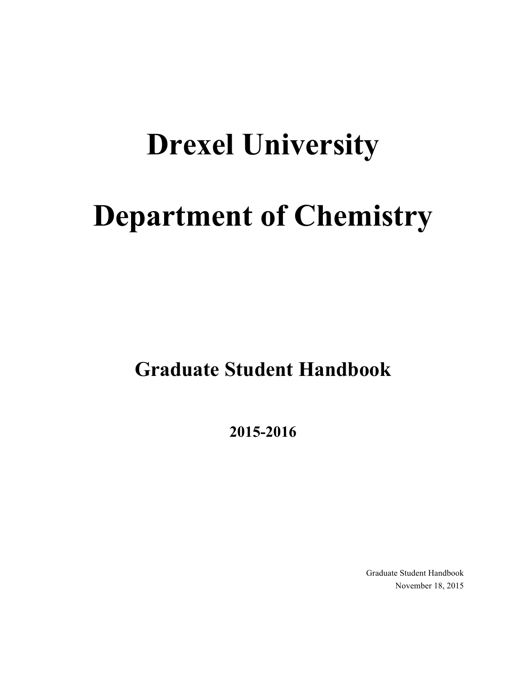# **Drexel University**

# **Department of Chemistry**

**Graduate Student Handbook**

**2015-2016**

Graduate Student Handbook November 18, 2015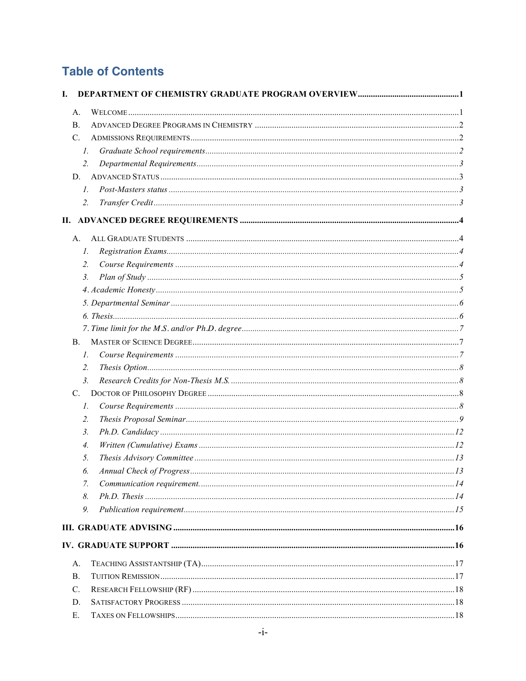# **Table of Contents**

| I.              |             |  |
|-----------------|-------------|--|
| А.              |             |  |
| $\mathbf{B}$ .  |             |  |
| $C_{\cdot}$     |             |  |
|                 | Ι.          |  |
|                 | 2.          |  |
| D.              |             |  |
|                 | $l_{\cdot}$ |  |
|                 | 2.          |  |
|                 |             |  |
| А.              |             |  |
|                 | Ι.          |  |
|                 | 2.          |  |
|                 | 3.          |  |
|                 |             |  |
|                 |             |  |
|                 |             |  |
|                 |             |  |
| $\mathbf{B}$ .  |             |  |
|                 | Ι.          |  |
|                 | 2.          |  |
|                 | 3.          |  |
| C.              |             |  |
|                 | 1.          |  |
|                 | 2.          |  |
|                 | 3.          |  |
|                 | 4.          |  |
|                 | 5.          |  |
|                 | 6.          |  |
|                 | 7.          |  |
|                 | 8.          |  |
|                 | 9.          |  |
|                 |             |  |
|                 |             |  |
| A.              |             |  |
| $\mathbf{B}$ .  |             |  |
| $\mathcal{C}$ . |             |  |
| D.              |             |  |
| Е.              |             |  |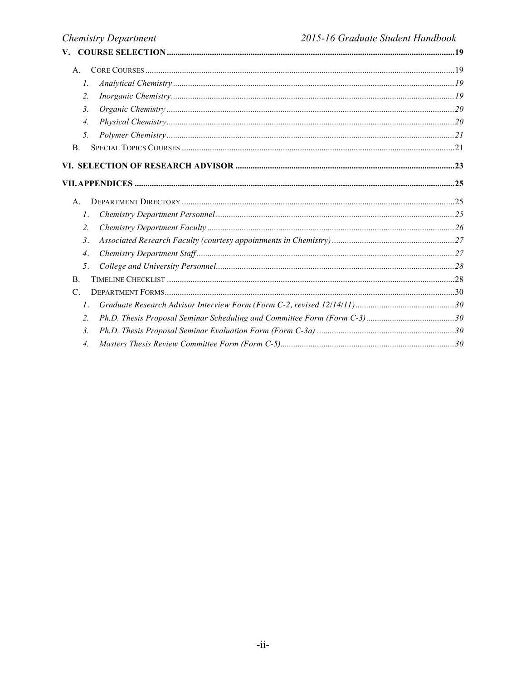| V.                 |  |
|--------------------|--|
| $A_{\cdot}$        |  |
| $I_{\cdot}$        |  |
| 2.                 |  |
| 3.                 |  |
| $\overline{4}$ .   |  |
| 5.                 |  |
| B.                 |  |
|                    |  |
|                    |  |
| $A_{-}$            |  |
| $\mathcal{I}$ .    |  |
| $\overline{2}$ .   |  |
| 3.                 |  |
| $\boldsymbol{4}$ . |  |
| 5.                 |  |
| B.                 |  |
| $\mathsf{C}$ .     |  |
| $\mathcal{I}$ .    |  |
| $\overline{2}$ .   |  |
| $\mathfrak{Z}$ .   |  |
| 4.                 |  |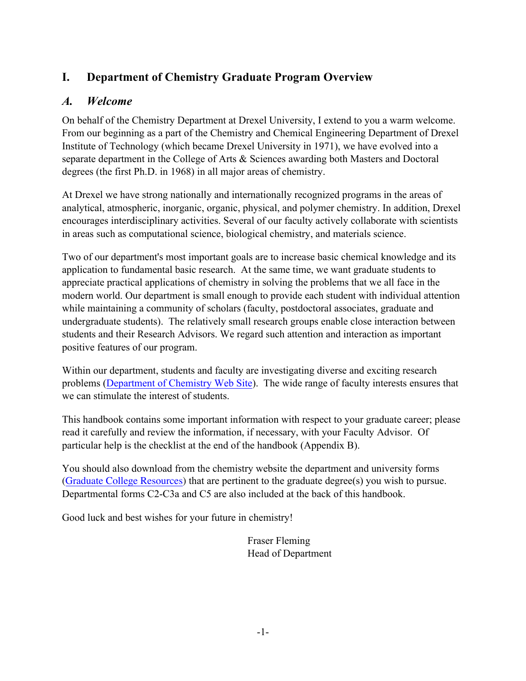# **I. Department of Chemistry Graduate Program Overview**

# *A. Welcome*

On behalf of the Chemistry Department at Drexel University, I extend to you a warm welcome. From our beginning as a part of the Chemistry and Chemical Engineering Department of Drexel Institute of Technology (which became Drexel University in 1971), we have evolved into a separate department in the College of Arts & Sciences awarding both Masters and Doctoral degrees (the first Ph.D. in 1968) in all major areas of chemistry.

At Drexel we have strong nationally and internationally recognized programs in the areas of analytical, atmospheric, inorganic, organic, physical, and polymer chemistry. In addition, Drexel encourages interdisciplinary activities. Several of our faculty actively collaborate with scientists in areas such as computational science, biological chemistry, and materials science.

Two of our department's most important goals are to increase basic chemical knowledge and its application to fundamental basic research. At the same time, we want graduate students to appreciate practical applications of chemistry in solving the problems that we all face in the modern world. Our department is small enough to provide each student with individual attention while maintaining a community of scholars (faculty, postdoctoral associates, graduate and undergraduate students). The relatively small research groups enable close interaction between students and their Research Advisors. We regard such attention and interaction as important positive features of our program.

Within our department, students and faculty are investigating diverse and exciting research problems (Department of Chemistry Web Site). The wide range of faculty interests ensures that we can stimulate the interest of students.

This handbook contains some important information with respect to your graduate career; please read it carefully and review the information, if necessary, with your Faculty Advisor. Of particular help is the checklist at the end of the handbook (Appendix B).

You should also download from the chemistry website the department and university forms (Graduate College Resources) that are pertinent to the graduate degree(s) you wish to pursue. Departmental forms C2-C3a and C5 are also included at the back of this handbook.

Good luck and best wishes for your future in chemistry!

Fraser Fleming Head of Department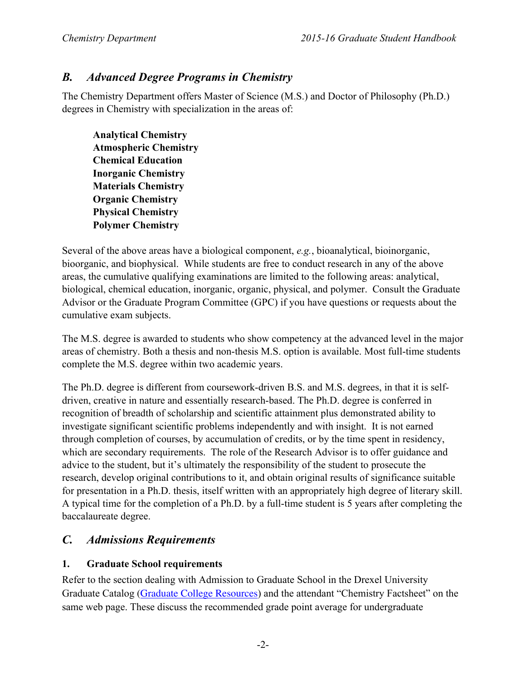# *B. Advanced Degree Programs in Chemistry*

The Chemistry Department offers Master of Science (M.S.) and Doctor of Philosophy (Ph.D.) degrees in Chemistry with specialization in the areas of:

**Analytical Chemistry Atmospheric Chemistry Chemical Education Inorganic Chemistry Materials Chemistry Organic Chemistry Physical Chemistry Polymer Chemistry**

Several of the above areas have a biological component, *e.g.*, bioanalytical, bioinorganic, bioorganic, and biophysical. While students are free to conduct research in any of the above areas, the cumulative qualifying examinations are limited to the following areas: analytical, biological, chemical education, inorganic, organic, physical, and polymer. Consult the Graduate Advisor or the Graduate Program Committee (GPC) if you have questions or requests about the cumulative exam subjects.

The M.S. degree is awarded to students who show competency at the advanced level in the major areas of chemistry. Both a thesis and non-thesis M.S. option is available. Most full-time students complete the M.S. degree within two academic years.

The Ph.D. degree is different from coursework-driven B.S. and M.S. degrees, in that it is selfdriven, creative in nature and essentially research-based. The Ph.D. degree is conferred in recognition of breadth of scholarship and scientific attainment plus demonstrated ability to investigate significant scientific problems independently and with insight. It is not earned through completion of courses, by accumulation of credits, or by the time spent in residency, which are secondary requirements. The role of the Research Advisor is to offer guidance and advice to the student, but it's ultimately the responsibility of the student to prosecute the research, develop original contributions to it, and obtain original results of significance suitable for presentation in a Ph.D. thesis, itself written with an appropriately high degree of literary skill. A typical time for the completion of a Ph.D. by a full-time student is 5 years after completing the baccalaureate degree.

# *C. Admissions Requirements*

#### **1. Graduate School requirements**

Refer to the section dealing with Admission to Graduate School in the Drexel University Graduate Catalog (Graduate College Resources) and the attendant "Chemistry Factsheet" on the same web page. These discuss the recommended grade point average for undergraduate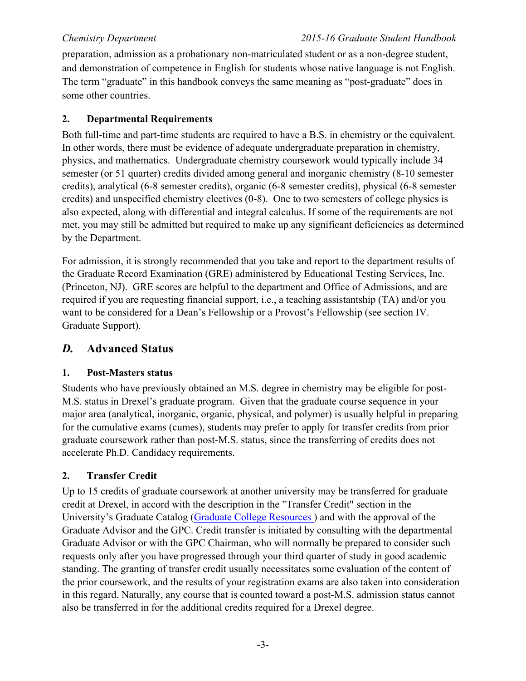preparation, admission as a probationary non-matriculated student or as a non-degree student, and demonstration of competence in English for students whose native language is not English. The term "graduate" in this handbook conveys the same meaning as "post-graduate" does in some other countries.

#### **2. Departmental Requirements**

Both full-time and part-time students are required to have a B.S. in chemistry or the equivalent. In other words, there must be evidence of adequate undergraduate preparation in chemistry, physics, and mathematics. Undergraduate chemistry coursework would typically include 34 semester (or 51 quarter) credits divided among general and inorganic chemistry (8-10 semester credits), analytical (6-8 semester credits), organic (6-8 semester credits), physical (6-8 semester credits) and unspecified chemistry electives (0-8). One to two semesters of college physics is also expected, along with differential and integral calculus. If some of the requirements are not met, you may still be admitted but required to make up any significant deficiencies as determined by the Department.

For admission, it is strongly recommended that you take and report to the department results of the Graduate Record Examination (GRE) administered by Educational Testing Services, Inc. (Princeton, NJ). GRE scores are helpful to the department and Office of Admissions, and are required if you are requesting financial support, i.e., a teaching assistantship (TA) and/or you want to be considered for a Dean's Fellowship or a Provost's Fellowship (see section IV. Graduate Support).

# *D.* **Advanced Status**

#### **1. Post-Masters status**

Students who have previously obtained an M.S. degree in chemistry may be eligible for post-M.S. status in Drexel's graduate program. Given that the graduate course sequence in your major area (analytical, inorganic, organic, physical, and polymer) is usually helpful in preparing for the cumulative exams (cumes), students may prefer to apply for transfer credits from prior graduate coursework rather than post-M.S. status, since the transferring of credits does not accelerate Ph.D. Candidacy requirements.

#### **2. Transfer Credit**

Up to 15 credits of graduate coursework at another university may be transferred for graduate credit at Drexel, in accord with the description in the "Transfer Credit" section in the University's Graduate Catalog (Graduate College Resources ) and with the approval of the Graduate Advisor and the GPC. Credit transfer is initiated by consulting with the departmental Graduate Advisor or with the GPC Chairman, who will normally be prepared to consider such requests only after you have progressed through your third quarter of study in good academic standing. The granting of transfer credit usually necessitates some evaluation of the content of the prior coursework, and the results of your registration exams are also taken into consideration in this regard. Naturally, any course that is counted toward a post-M.S. admission status cannot also be transferred in for the additional credits required for a Drexel degree.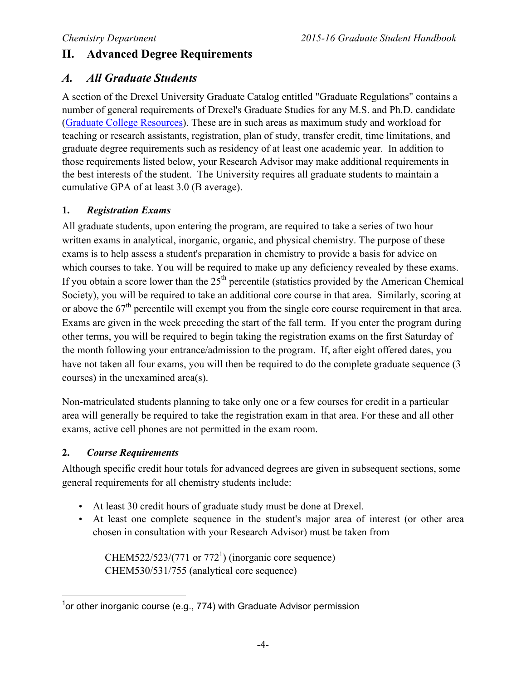# **II. Advanced Degree Requirements**

# *A. All Graduate Students*

A section of the Drexel University Graduate Catalog entitled "Graduate Regulations" contains a number of general requirements of Drexel's Graduate Studies for any M.S. and Ph.D. candidate (Graduate College Resources). These are in such areas as maximum study and workload for teaching or research assistants, registration, plan of study, transfer credit, time limitations, and graduate degree requirements such as residency of at least one academic year. In addition to those requirements listed below, your Research Advisor may make additional requirements in the best interests of the student. The University requires all graduate students to maintain a cumulative GPA of at least 3.0 (B average).

### **1.** *Registration Exams*

All graduate students, upon entering the program, are required to take a series of two hour written exams in analytical, inorganic, organic, and physical chemistry. The purpose of these exams is to help assess a student's preparation in chemistry to provide a basis for advice on which courses to take. You will be required to make up any deficiency revealed by these exams. If you obtain a score lower than the  $25<sup>th</sup>$  percentile (statistics provided by the American Chemical Society), you will be required to take an additional core course in that area. Similarly, scoring at or above the  $67<sup>th</sup>$  percentile will exempt you from the single core course requirement in that area. Exams are given in the week preceding the start of the fall term. If you enter the program during other terms, you will be required to begin taking the registration exams on the first Saturday of the month following your entrance/admission to the program. If, after eight offered dates, you have not taken all four exams, you will then be required to do the complete graduate sequence (3 courses) in the unexamined area(s).

Non-matriculated students planning to take only one or a few courses for credit in a particular area will generally be required to take the registration exam in that area. For these and all other exams, active cell phones are not permitted in the exam room.

### **2.** *Course Requirements*

Although specific credit hour totals for advanced degrees are given in subsequent sections, some general requirements for all chemistry students include:

- At least 30 credit hours of graduate study must be done at Drexel.
- At least one complete sequence in the student's major area of interest (or other area chosen in consultation with your Research Advisor) must be taken from

CHEM522/523/(771 or 772<sup>1</sup>) (inorganic core sequence) CHEM530/531/755 (analytical core sequence)

1 or other inorganic course (e.g., 774) with Graduate Advisor permission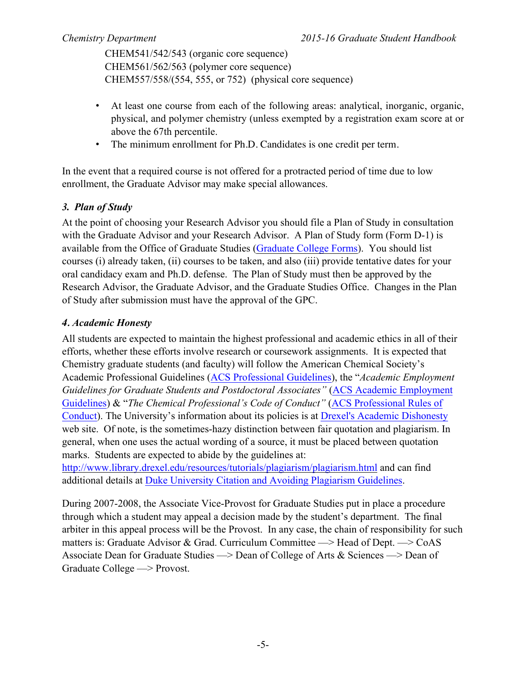CHEM541/542/543 (organic core sequence) CHEM561/562/563 (polymer core sequence) CHEM557/558/(554, 555, or 752) (physical core sequence)

- At least one course from each of the following areas: analytical, inorganic, organic, physical, and polymer chemistry (unless exempted by a registration exam score at or above the 67th percentile.
- The minimum enrollment for Ph.D. Candidates is one credit per term.

In the event that a required course is not offered for a protracted period of time due to low enrollment, the Graduate Advisor may make special allowances.

### *3. Plan of Study*

At the point of choosing your Research Advisor you should file a Plan of Study in consultation with the Graduate Advisor and your Research Advisor. A Plan of Study form (Form D-1) is available from the Office of Graduate Studies (Graduate College Forms). You should list courses (i) already taken, (ii) courses to be taken, and also (iii) provide tentative dates for your oral candidacy exam and Ph.D. defense. The Plan of Study must then be approved by the Research Advisor, the Graduate Advisor, and the Graduate Studies Office. Changes in the Plan of Study after submission must have the approval of the GPC.

### *4. Academic Honesty*

All students are expected to maintain the highest professional and academic ethics in all of their efforts, whether these efforts involve research or coursework assignments. It is expected that Chemistry graduate students (and faculty) will follow the American Chemical Society's Academic Professional Guidelines (ACS Professional Guidelines), the "*Academic Employment Guidelines for Graduate Students and Postdoctoral Associates"* (ACS Academic Employment Guidelines) & "*The Chemical Professional's Code of Conduct"* (ACS Professional Rules of Conduct). The University's information about its policies is at Drexel's Academic Dishonesty web site. Of note, is the sometimes-hazy distinction between fair quotation and plagiarism. In general, when one uses the actual wording of a source, it must be placed between quotation marks. Students are expected to abide by the guidelines at:

http://www.library.drexel.edu/resources/tutorials/plagiarism/plagiarism.html and can find additional details at Duke University Citation and Avoiding Plagiarism Guidelines.

During 2007-2008, the Associate Vice-Provost for Graduate Studies put in place a procedure through which a student may appeal a decision made by the student's department. The final arbiter in this appeal process will be the Provost. In any case, the chain of responsibility for such matters is: Graduate Advisor & Grad. Curriculum Committee  $\rightarrow$  Head of Dept.  $\rightarrow$  CoAS Associate Dean for Graduate Studies  $\rightarrow$  Dean of College of Arts & Sciences  $\rightarrow$  Dean of Graduate College ––> Provost.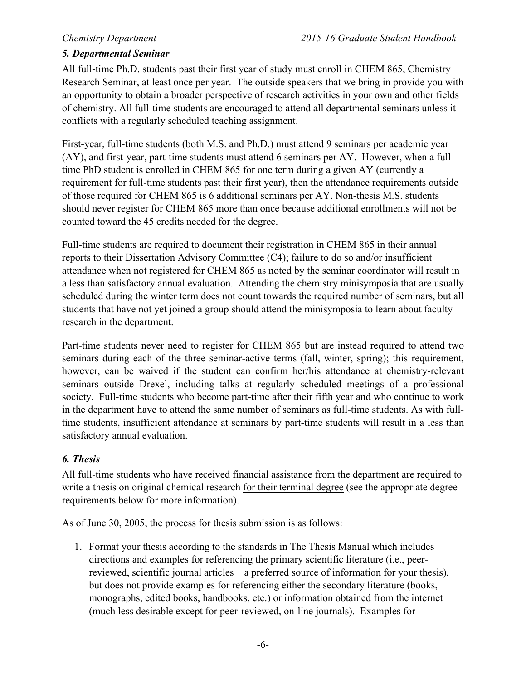#### *5. Departmental Seminar*

All full-time Ph.D. students past their first year of study must enroll in CHEM 865, Chemistry Research Seminar, at least once per year. The outside speakers that we bring in provide you with an opportunity to obtain a broader perspective of research activities in your own and other fields of chemistry. All full-time students are encouraged to attend all departmental seminars unless it conflicts with a regularly scheduled teaching assignment.

First-year, full-time students (both M.S. and Ph.D.) must attend 9 seminars per academic year (AY), and first-year, part-time students must attend 6 seminars per AY. However, when a fulltime PhD student is enrolled in CHEM 865 for one term during a given AY (currently a requirement for full-time students past their first year), then the attendance requirements outside of those required for CHEM 865 is 6 additional seminars per AY. Non-thesis M.S. students should never register for CHEM 865 more than once because additional enrollments will not be counted toward the 45 credits needed for the degree.

Full-time students are required to document their registration in CHEM 865 in their annual reports to their Dissertation Advisory Committee (C4); failure to do so and/or insufficient attendance when not registered for CHEM 865 as noted by the seminar coordinator will result in a less than satisfactory annual evaluation. Attending the chemistry minisymposia that are usually scheduled during the winter term does not count towards the required number of seminars, but all students that have not yet joined a group should attend the minisymposia to learn about faculty research in the department.

Part-time students never need to register for CHEM 865 but are instead required to attend two seminars during each of the three seminar-active terms (fall, winter, spring); this requirement, however, can be waived if the student can confirm her/his attendance at chemistry-relevant seminars outside Drexel, including talks at regularly scheduled meetings of a professional society. Full-time students who become part-time after their fifth year and who continue to work in the department have to attend the same number of seminars as full-time students. As with fulltime students, insufficient attendance at seminars by part-time students will result in a less than satisfactory annual evaluation.

#### *6. Thesis*

All full-time students who have received financial assistance from the department are required to write a thesis on original chemical research for their terminal degree (see the appropriate degree requirements below for more information).

As of June 30, 2005, the process for thesis submission is as follows:

1. Format your thesis according to the standards in The Thesis Manual which includes directions and examples for referencing the primary scientific literature (i.e., peerreviewed, scientific journal articles—a preferred source of information for your thesis), but does not provide examples for referencing either the secondary literature (books, monographs, edited books, handbooks, etc.) or information obtained from the internet (much less desirable except for peer-reviewed, on-line journals). Examples for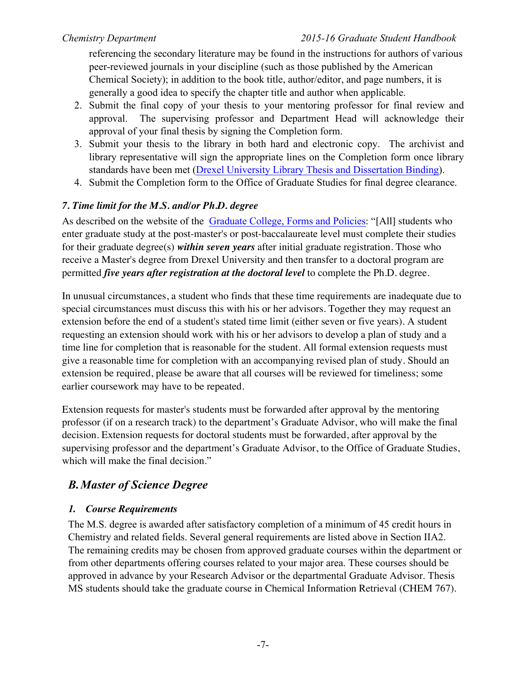referencing the secondary literature may be found in the instructions for authors of various peer-reviewed journals in your discipline (such as those published by the American Chemical Society); in addition to the book title, author/editor, and page numbers, it is generally a good idea to specify the chapter title and author when applicable.

- 2. Submit the final copy of your thesis to your mentoring professor for final review and approval. The supervising professor and Department Head will acknowledge their approval of your final thesis by signing the Completion form.
- 3. Submit your thesis to the library in both hard and electronic copy. The archivist and library representative will sign the appropriate lines on the Completion form once library standards have been met (Drexel University Library Thesis and Dissertation Binding).
- 4. Submit the Completion form to the Office of Graduate Studies for final degree clearance.

### *7. Time limit for the M.S. and/or Ph.D. degree*

As described on the website of the Graduate College, Forms and Policies: "[All] students who enter graduate study at the post-master's or post-baccalaureate level must complete their studies for their graduate degree(s) *within seven years* after initial graduate registration. Those who receive a Master's degree from Drexel University and then transfer to a doctoral program are permitted *five years after registration at the doctoral level* to complete the Ph.D. degree.

In unusual circumstances, a student who finds that these time requirements are inadequate due to special circumstances must discuss this with his or her advisors. Together they may request an extension before the end of a student's stated time limit (either seven or five years). A student requesting an extension should work with his or her advisors to develop a plan of study and a time line for completion that is reasonable for the student. All formal extension requests must give a reasonable time for completion with an accompanying revised plan of study. Should an extension be required, please be aware that all courses will be reviewed for timeliness; some earlier coursework may have to be repeated.

Extension requests for master's students must be forwarded after approval by the mentoring professor (if on a research track) to the department's Graduate Advisor, who will make the final decision. Extension requests for doctoral students must be forwarded, after approval by the supervising professor and the department's Graduate Advisor, to the Office of Graduate Studies, which will make the final decision."

# *B.Master of Science Degree*

### *1. Course Requirements*

The M.S. degree is awarded after satisfactory completion of a minimum of 45 credit hours in Chemistry and related fields. Several general requirements are listed above in Section IIA2. The remaining credits may be chosen from approved graduate courses within the department or from other departments offering courses related to your major area. These courses should be approved in advance by your Research Advisor or the departmental Graduate Advisor. Thesis MS students should take the graduate course in Chemical Information Retrieval (CHEM 767).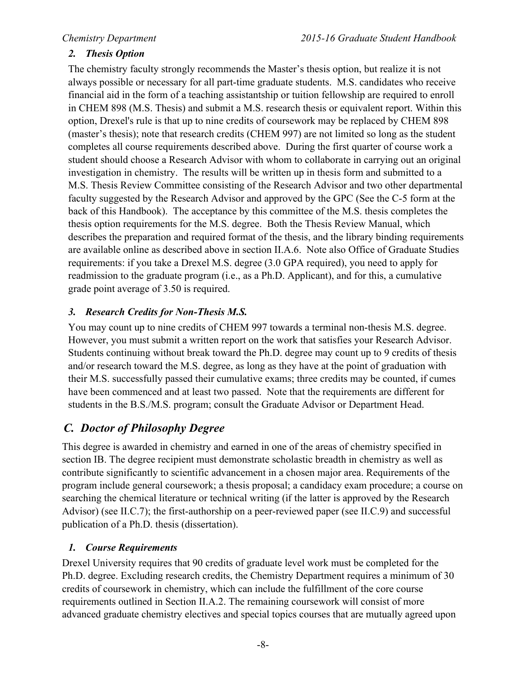### *2. Thesis Option*

The chemistry faculty strongly recommends the Master's thesis option, but realize it is not always possible or necessary for all part-time graduate students. M.S. candidates who receive financial aid in the form of a teaching assistantship or tuition fellowship are required to enroll in CHEM 898 (M.S. Thesis) and submit a M.S. research thesis or equivalent report. Within this option, Drexel's rule is that up to nine credits of coursework may be replaced by CHEM 898 (master's thesis); note that research credits (CHEM 997) are not limited so long as the student completes all course requirements described above. During the first quarter of course work a student should choose a Research Advisor with whom to collaborate in carrying out an original investigation in chemistry. The results will be written up in thesis form and submitted to a M.S. Thesis Review Committee consisting of the Research Advisor and two other departmental faculty suggested by the Research Advisor and approved by the GPC (See the C-5 form at the back of this Handbook). The acceptance by this committee of the M.S. thesis completes the thesis option requirements for the M.S. degree. Both the Thesis Review Manual, which describes the preparation and required format of the thesis, and the library binding requirements are available online as described above in section II.A.6. Note also Office of Graduate Studies requirements: if you take a Drexel M.S. degree (3.0 GPA required), you need to apply for readmission to the graduate program (i.e., as a Ph.D. Applicant), and for this, a cumulative grade point average of 3.50 is required.

### *3. Research Credits for Non-Thesis M.S.*

You may count up to nine credits of CHEM 997 towards a terminal non-thesis M.S. degree. However, you must submit a written report on the work that satisfies your Research Advisor. Students continuing without break toward the Ph.D. degree may count up to 9 credits of thesis and/or research toward the M.S. degree, as long as they have at the point of graduation with their M.S. successfully passed their cumulative exams; three credits may be counted, if cumes have been commenced and at least two passed. Note that the requirements are different for students in the B.S./M.S. program; consult the Graduate Advisor or Department Head.

# *C. Doctor of Philosophy Degree*

This degree is awarded in chemistry and earned in one of the areas of chemistry specified in section IB. The degree recipient must demonstrate scholastic breadth in chemistry as well as contribute significantly to scientific advancement in a chosen major area. Requirements of the program include general coursework; a thesis proposal; a candidacy exam procedure; a course on searching the chemical literature or technical writing (if the latter is approved by the Research Advisor) (see II.C.7); the first-authorship on a peer-reviewed paper (see II.C.9) and successful publication of a Ph.D. thesis (dissertation).

#### *1. Course Requirements*

Drexel University requires that 90 credits of graduate level work must be completed for the Ph.D. degree. Excluding research credits, the Chemistry Department requires a minimum of 30 credits of coursework in chemistry, which can include the fulfillment of the core course requirements outlined in Section II.A.2. The remaining coursework will consist of more advanced graduate chemistry electives and special topics courses that are mutually agreed upon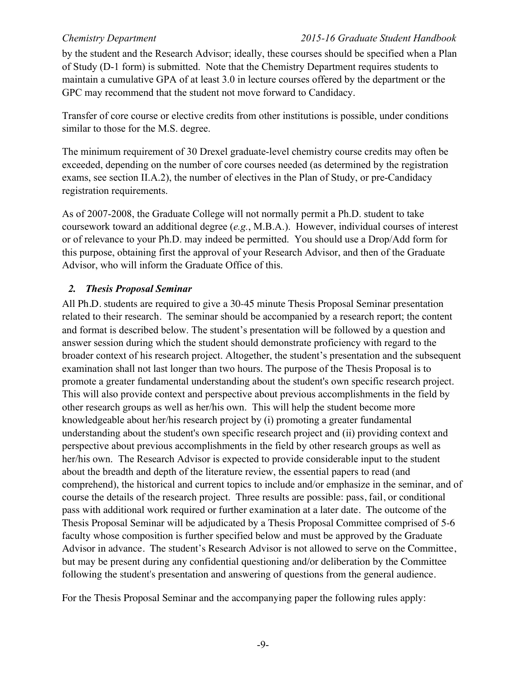by the student and the Research Advisor; ideally, these courses should be specified when a Plan of Study (D-1 form) is submitted. Note that the Chemistry Department requires students to maintain a cumulative GPA of at least 3.0 in lecture courses offered by the department or the GPC may recommend that the student not move forward to Candidacy.

Transfer of core course or elective credits from other institutions is possible, under conditions similar to those for the M.S. degree.

The minimum requirement of 30 Drexel graduate-level chemistry course credits may often be exceeded, depending on the number of core courses needed (as determined by the registration exams, see section II.A.2), the number of electives in the Plan of Study, or pre-Candidacy registration requirements.

As of 2007-2008, the Graduate College will not normally permit a Ph.D. student to take coursework toward an additional degree (*e.g.*, M.B.A.). However, individual courses of interest or of relevance to your Ph.D. may indeed be permitted. You should use a Drop/Add form for this purpose, obtaining first the approval of your Research Advisor, and then of the Graduate Advisor, who will inform the Graduate Office of this.

### *2. Thesis Proposal Seminar*

All Ph.D. students are required to give a 30-45 minute Thesis Proposal Seminar presentation related to their research. The seminar should be accompanied by a research report; the content and format is described below. The student's presentation will be followed by a question and answer session during which the student should demonstrate proficiency with regard to the broader context of his research project. Altogether, the student's presentation and the subsequent examination shall not last longer than two hours. The purpose of the Thesis Proposal is to promote a greater fundamental understanding about the student's own specific research project. This will also provide context and perspective about previous accomplishments in the field by other research groups as well as her/his own. This will help the student become more knowledgeable about her/his research project by (i) promoting a greater fundamental understanding about the student's own specific research project and (ii) providing context and perspective about previous accomplishments in the field by other research groups as well as her/his own. The Research Advisor is expected to provide considerable input to the student about the breadth and depth of the literature review, the essential papers to read (and comprehend), the historical and current topics to include and/or emphasize in the seminar, and of course the details of the research project. Three results are possible: pass, fail, or conditional pass with additional work required or further examination at a later date. The outcome of the Thesis Proposal Seminar will be adjudicated by a Thesis Proposal Committee comprised of 5-6 faculty whose composition is further specified below and must be approved by the Graduate Advisor in advance. The student's Research Advisor is not allowed to serve on the Committee, but may be present during any confidential questioning and/or deliberation by the Committee following the student's presentation and answering of questions from the general audience.

For the Thesis Proposal Seminar and the accompanying paper the following rules apply: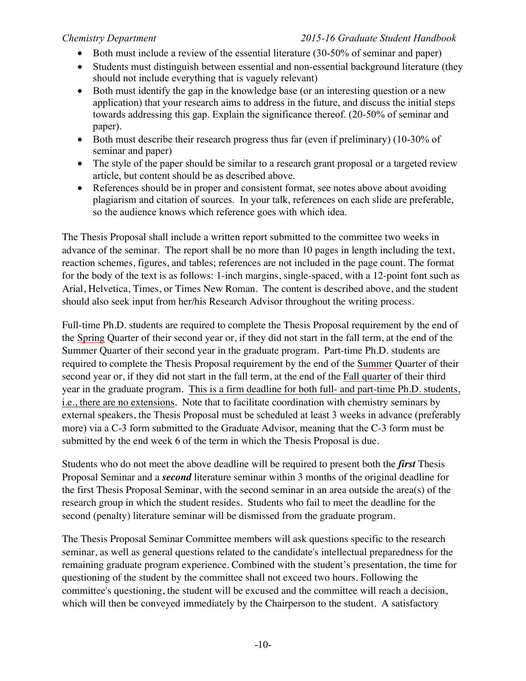#### *Chemistry Department 2015-16 Graduate Student Handbook*

- Both must include a review of the essential literature (30-50% of seminar and paper)
- Students must distinguish between essential and non-essential background literature (they should not include everything that is vaguely relevant)
- Both must identify the gap in the knowledge base (or an interesting question or a new application) that your research aims to address in the future, and discuss the initial steps towards addressing this gap. Explain the significance thereof. (20-50% of seminar and paper).
- Both must describe their research progress thus far (even if preliminary) (10-30% of seminar and paper)
- The style of the paper should be similar to a research grant proposal or a targeted review article, but content should be as described above.
- References should be in proper and consistent format, see notes above about avoiding plagiarism and citation of sources. In your talk, references on each slide are preferable, so the audience knows which reference goes with which idea.

The Thesis Proposal shall include a written report submitted to the committee two weeks in advance of the seminar. The report shall be no more than 10 pages in length including the text, reaction schemes, figures, and tables; references are not included in the page count. The format for the body of the text is as follows: 1-inch margins, single-spaced, with a 12-point font such as Arial, Helvetica, Times, or Times New Roman. The content is described above, and the student should also seek input from her/his Research Advisor throughout the writing process.

Full-time Ph.D. students are required to complete the Thesis Proposal requirement by the end of the Spring Quarter of their second year or, if they did not start in the fall term, at the end of the Summer Quarter of their second year in the graduate program. Part-time Ph.D. students are required to complete the Thesis Proposal requirement by the end of the Summer Quarter of their second year or, if they did not start in the fall term, at the end of the Fall quarter of their third year in the graduate program. This is a firm deadline for both full- and part-time Ph.D. students, i.e., there are no extensions. Note that to facilitate coordination with chemistry seminars by external speakers, the Thesis Proposal must be scheduled at least 3 weeks in advance (preferably more) via a C-3 form submitted to the Graduate Advisor, meaning that the C-3 form must be submitted by the end week 6 of the term in which the Thesis Proposal is due.

Students who do not meet the above deadline will be required to present both the *first* Thesis Proposal Seminar and a *second* literature seminar within 3 months of the original deadline for the first Thesis Proposal Seminar, with the second seminar in an area outside the area(s) of the research group in which the student resides. Students who fail to meet the deadline for the second (penalty) literature seminar will be dismissed from the graduate program.

The Thesis Proposal Seminar Committee members will ask questions specific to the research seminar, as well as general questions related to the candidate's intellectual preparedness for the remaining graduate program experience. Combined with the student's presentation, the time for questioning of the student by the committee shall not exceed two hours. Following the committee's questioning, the student will be excused and the committee will reach a decision, which will then be conveyed immediately by the Chairperson to the student. A satisfactory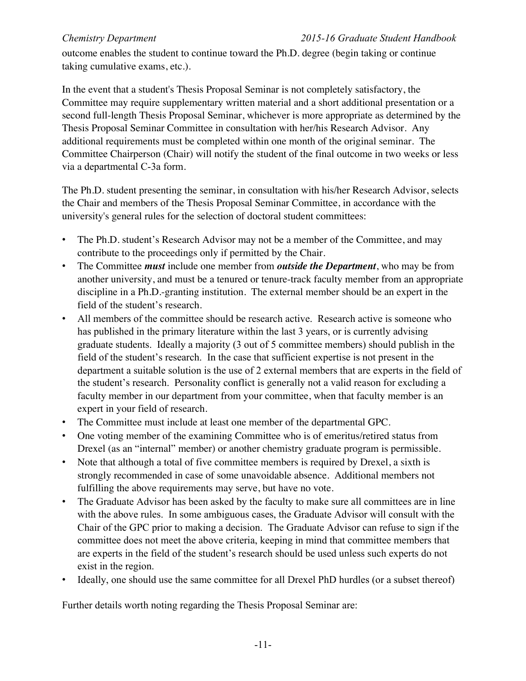outcome enables the student to continue toward the Ph.D. degree (begin taking or continue taking cumulative exams, etc.).

In the event that a student's Thesis Proposal Seminar is not completely satisfactory, the Committee may require supplementary written material and a short additional presentation or a second full-length Thesis Proposal Seminar, whichever is more appropriate as determined by the Thesis Proposal Seminar Committee in consultation with her/his Research Advisor. Any additional requirements must be completed within one month of the original seminar. The Committee Chairperson (Chair) will notify the student of the final outcome in two weeks or less via a departmental C-3a form.

The Ph.D. student presenting the seminar, in consultation with his/her Research Advisor, selects the Chair and members of the Thesis Proposal Seminar Committee, in accordance with the university's general rules for the selection of doctoral student committees:

- The Ph.D. student's Research Advisor may not be a member of the Committee, and may contribute to the proceedings only if permitted by the Chair.
- The Committee *must* include one member from *outside the Department*, who may be from another university, and must be a tenured or tenure-track faculty member from an appropriate discipline in a Ph.D.-granting institution. The external member should be an expert in the field of the student's research.
- All members of the committee should be research active. Research active is someone who has published in the primary literature within the last 3 years, or is currently advising graduate students. Ideally a majority (3 out of 5 committee members) should publish in the field of the student's research. In the case that sufficient expertise is not present in the department a suitable solution is the use of 2 external members that are experts in the field of the student's research. Personality conflict is generally not a valid reason for excluding a faculty member in our department from your committee, when that faculty member is an expert in your field of research.
- The Committee must include at least one member of the departmental GPC.
- One voting member of the examining Committee who is of emeritus/retired status from Drexel (as an "internal" member) or another chemistry graduate program is permissible.
- Note that although a total of five committee members is required by Drexel, a sixth is strongly recommended in case of some unavoidable absence. Additional members not fulfilling the above requirements may serve, but have no vote.
- The Graduate Advisor has been asked by the faculty to make sure all committees are in line with the above rules. In some ambiguous cases, the Graduate Advisor will consult with the Chair of the GPC prior to making a decision. The Graduate Advisor can refuse to sign if the committee does not meet the above criteria, keeping in mind that committee members that are experts in the field of the student's research should be used unless such experts do not exist in the region.
- Ideally, one should use the same committee for all Drexel PhD hurdles (or a subset thereof)

Further details worth noting regarding the Thesis Proposal Seminar are: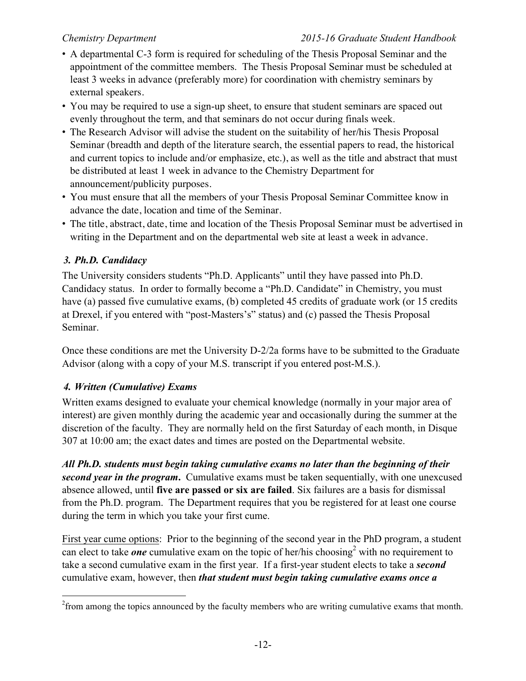- A departmental C-3 form is required for scheduling of the Thesis Proposal Seminar and the appointment of the committee members. The Thesis Proposal Seminar must be scheduled at least 3 weeks in advance (preferably more) for coordination with chemistry seminars by external speakers.
- You may be required to use a sign-up sheet, to ensure that student seminars are spaced out evenly throughout the term, and that seminars do not occur during finals week.
- The Research Advisor will advise the student on the suitability of her/his Thesis Proposal Seminar (breadth and depth of the literature search, the essential papers to read, the historical and current topics to include and/or emphasize, etc.), as well as the title and abstract that must be distributed at least 1 week in advance to the Chemistry Department for announcement/publicity purposes.
- You must ensure that all the members of your Thesis Proposal Seminar Committee know in advance the date, location and time of the Seminar.
- The title, abstract, date, time and location of the Thesis Proposal Seminar must be advertised in writing in the Department and on the departmental web site at least a week in advance.

# *3. Ph.D. Candidacy*

The University considers students "Ph.D. Applicants" until they have passed into Ph.D. Candidacy status. In order to formally become a "Ph.D. Candidate" in Chemistry, you must have (a) passed five cumulative exams, (b) completed 45 credits of graduate work (or 15 credits at Drexel, if you entered with "post-Masters's" status) and (c) passed the Thesis Proposal Seminar.

Once these conditions are met the University D-2/2a forms have to be submitted to the Graduate Advisor (along with a copy of your M.S. transcript if you entered post-M.S.).

### *4. Written (Cumulative) Exams*

Written exams designed to evaluate your chemical knowledge (normally in your major area of interest) are given monthly during the academic year and occasionally during the summer at the discretion of the faculty. They are normally held on the first Saturday of each month, in Disque 307 at 10:00 am; the exact dates and times are posted on the Departmental website.

*All Ph.D. students must begin taking cumulative exams no later than the beginning of their second year in the program***.** Cumulative exams must be taken sequentially, with one unexcused absence allowed, until **five are passed or six are failed**. Six failures are a basis for dismissal from the Ph.D. program. The Department requires that you be registered for at least one course during the term in which you take your first cume.

First year cume options: Prior to the beginning of the second year in the PhD program, a student can elect to take *one* cumulative exam on the topic of her/his choosing<sup>2</sup> with no requirement to take a second cumulative exam in the first year. If a first-year student elects to take a *second* cumulative exam, however, then *that student must begin taking cumulative exams once a*

 $\frac{1}{2}$ <sup>2</sup> from among the topics announced by the faculty members who are writing cumulative exams that month.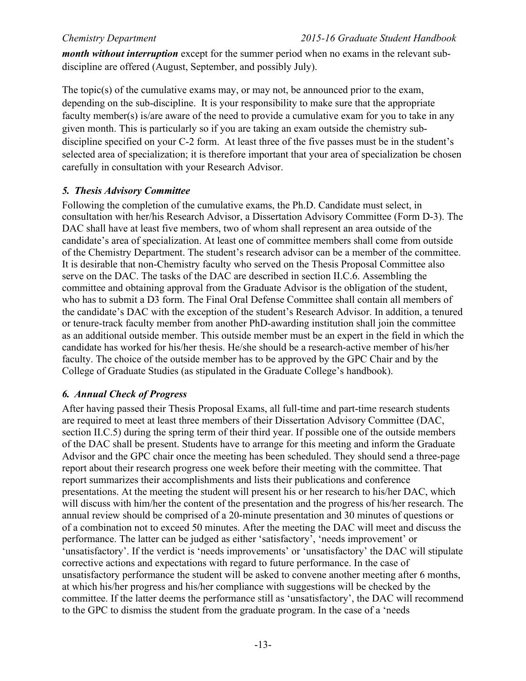*month without interruption* except for the summer period when no exams in the relevant subdiscipline are offered (August, September, and possibly July).

The topic(s) of the cumulative exams may, or may not, be announced prior to the exam, depending on the sub-discipline. It is your responsibility to make sure that the appropriate faculty member(s) is/are aware of the need to provide a cumulative exam for you to take in any given month. This is particularly so if you are taking an exam outside the chemistry subdiscipline specified on your C-2 form. At least three of the five passes must be in the student's selected area of specialization; it is therefore important that your area of specialization be chosen carefully in consultation with your Research Advisor.

#### *5. Thesis Advisory Committee*

Following the completion of the cumulative exams, the Ph.D. Candidate must select, in consultation with her/his Research Advisor, a Dissertation Advisory Committee (Form D-3). The DAC shall have at least five members, two of whom shall represent an area outside of the candidate's area of specialization. At least one of committee members shall come from outside of the Chemistry Department. The student's research advisor can be a member of the committee. It is desirable that non-Chemistry faculty who served on the Thesis Proposal Committee also serve on the DAC. The tasks of the DAC are described in section II.C.6. Assembling the committee and obtaining approval from the Graduate Advisor is the obligation of the student, who has to submit a D3 form. The Final Oral Defense Committee shall contain all members of the candidate's DAC with the exception of the student's Research Advisor. In addition, a tenured or tenure-track faculty member from another PhD-awarding institution shall join the committee as an additional outside member. This outside member must be an expert in the field in which the candidate has worked for his/her thesis. He/she should be a research-active member of his/her faculty. The choice of the outside member has to be approved by the GPC Chair and by the College of Graduate Studies (as stipulated in the Graduate College's handbook).

#### *6. Annual Check of Progress*

After having passed their Thesis Proposal Exams, all full-time and part-time research students are required to meet at least three members of their Dissertation Advisory Committee (DAC, section II.C.5) during the spring term of their third year. If possible one of the outside members of the DAC shall be present. Students have to arrange for this meeting and inform the Graduate Advisor and the GPC chair once the meeting has been scheduled. They should send a three-page report about their research progress one week before their meeting with the committee. That report summarizes their accomplishments and lists their publications and conference presentations. At the meeting the student will present his or her research to his/her DAC, which will discuss with him/her the content of the presentation and the progress of his/her research. The annual review should be comprised of a 20-minute presentation and 30 minutes of questions or of a combination not to exceed 50 minutes. After the meeting the DAC will meet and discuss the performance. The latter can be judged as either 'satisfactory', 'needs improvement' or 'unsatisfactory'. If the verdict is 'needs improvements' or 'unsatisfactory' the DAC will stipulate corrective actions and expectations with regard to future performance. In the case of unsatisfactory performance the student will be asked to convene another meeting after 6 months, at which his/her progress and his/her compliance with suggestions will be checked by the committee. If the latter deems the performance still as 'unsatisfactory', the DAC will recommend to the GPC to dismiss the student from the graduate program. In the case of a 'needs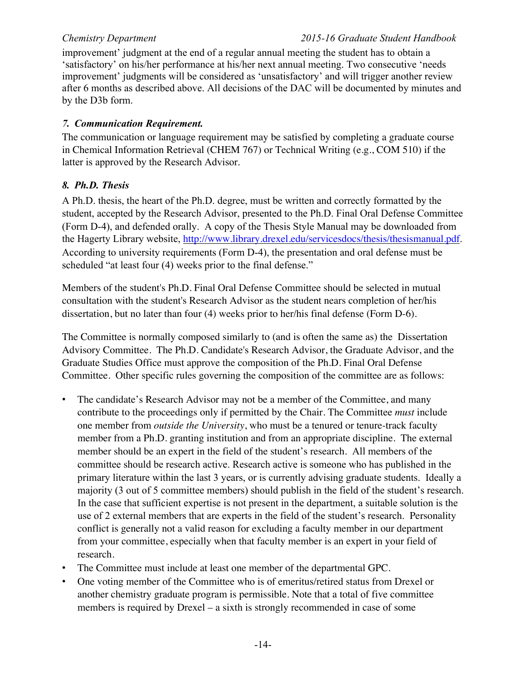improvement' judgment at the end of a regular annual meeting the student has to obtain a 'satisfactory' on his/her performance at his/her next annual meeting. Two consecutive 'needs improvement' judgments will be considered as 'unsatisfactory' and will trigger another review after 6 months as described above. All decisions of the DAC will be documented by minutes and by the D3b form.

#### *7. Communication Requirement.*

The communication or language requirement may be satisfied by completing a graduate course in Chemical Information Retrieval (CHEM 767) or Technical Writing (e.g., COM 510) if the latter is approved by the Research Advisor.

### *8. Ph.D. Thesis*

A Ph.D. thesis, the heart of the Ph.D. degree, must be written and correctly formatted by the student, accepted by the Research Advisor, presented to the Ph.D. Final Oral Defense Committee (Form D-4), and defended orally. A copy of the Thesis Style Manual may be downloaded from the Hagerty Library website, http://www.library.drexel.edu/servicesdocs/thesis/thesismanual.pdf. According to university requirements (Form D-4), the presentation and oral defense must be scheduled "at least four (4) weeks prior to the final defense."

Members of the student's Ph.D. Final Oral Defense Committee should be selected in mutual consultation with the student's Research Advisor as the student nears completion of her/his dissertation, but no later than four (4) weeks prior to her/his final defense (Form D-6).

The Committee is normally composed similarly to (and is often the same as) the Dissertation Advisory Committee. The Ph.D. Candidate's Research Advisor, the Graduate Advisor, and the Graduate Studies Office must approve the composition of the Ph.D. Final Oral Defense Committee. Other specific rules governing the composition of the committee are as follows:

- The candidate's Research Advisor may not be a member of the Committee, and many contribute to the proceedings only if permitted by the Chair. The Committee *must* include one member from *outside the University*, who must be a tenured or tenure-track faculty member from a Ph.D. granting institution and from an appropriate discipline. The external member should be an expert in the field of the student's research. All members of the committee should be research active. Research active is someone who has published in the primary literature within the last 3 years, or is currently advising graduate students. Ideally a majority (3 out of 5 committee members) should publish in the field of the student's research. In the case that sufficient expertise is not present in the department, a suitable solution is the use of 2 external members that are experts in the field of the student's research. Personality conflict is generally not a valid reason for excluding a faculty member in our department from your committee, especially when that faculty member is an expert in your field of research*.*
- The Committee must include at least one member of the departmental GPC.
- One voting member of the Committee who is of emeritus/retired status from Drexel or another chemistry graduate program is permissible. Note that a total of five committee members is required by Drexel – a sixth is strongly recommended in case of some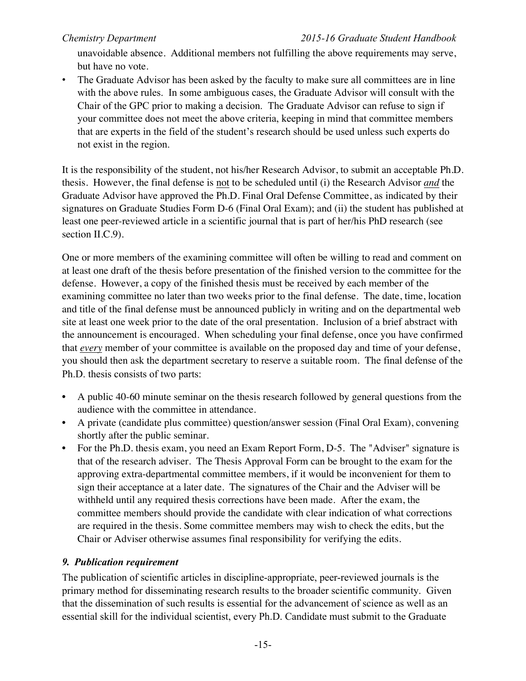unavoidable absence. Additional members not fulfilling the above requirements may serve, but have no vote.

The Graduate Advisor has been asked by the faculty to make sure all committees are in line with the above rules. In some ambiguous cases, the Graduate Advisor will consult with the Chair of the GPC prior to making a decision. The Graduate Advisor can refuse to sign if your committee does not meet the above criteria, keeping in mind that committee members that are experts in the field of the student's research should be used unless such experts do not exist in the region.

It is the responsibility of the student, not his/her Research Advisor, to submit an acceptable Ph.D. thesis. However, the final defense is not to be scheduled until (i) the Research Advisor *and* the Graduate Advisor have approved the Ph.D. Final Oral Defense Committee, as indicated by their signatures on Graduate Studies Form D-6 (Final Oral Exam); and (ii) the student has published at least one peer-reviewed article in a scientific journal that is part of her/his PhD research (see section II.C.9).

One or more members of the examining committee will often be willing to read and comment on at least one draft of the thesis before presentation of the finished version to the committee for the defense. However, a copy of the finished thesis must be received by each member of the examining committee no later than two weeks prior to the final defense. The date, time, location and title of the final defense must be announced publicly in writing and on the departmental web site at least one week prior to the date of the oral presentation. Inclusion of a brief abstract with the announcement is encouraged. When scheduling your final defense, once you have confirmed that *every* member of your committee is available on the proposed day and time of your defense, you should then ask the department secretary to reserve a suitable room. The final defense of the Ph.D. thesis consists of two parts:

- A public 40-60 minute seminar on the thesis research followed by general questions from the audience with the committee in attendance.
- A private (candidate plus committee) question/answer session (Final Oral Exam), convening shortly after the public seminar.
- For the Ph.D. thesis exam, you need an Exam Report Form, D-5. The "Adviser" signature is that of the research adviser. The Thesis Approval Form can be brought to the exam for the approving extra-departmental committee members, if it would be inconvenient for them to sign their acceptance at a later date. The signatures of the Chair and the Adviser will be withheld until any required thesis corrections have been made. After the exam, the committee members should provide the candidate with clear indication of what corrections are required in the thesis. Some committee members may wish to check the edits, but the Chair or Adviser otherwise assumes final responsibility for verifying the edits.

#### *9. Publication requirement*

The publication of scientific articles in discipline-appropriate, peer-reviewed journals is the primary method for disseminating research results to the broader scientific community. Given that the dissemination of such results is essential for the advancement of science as well as an essential skill for the individual scientist, every Ph.D. Candidate must submit to the Graduate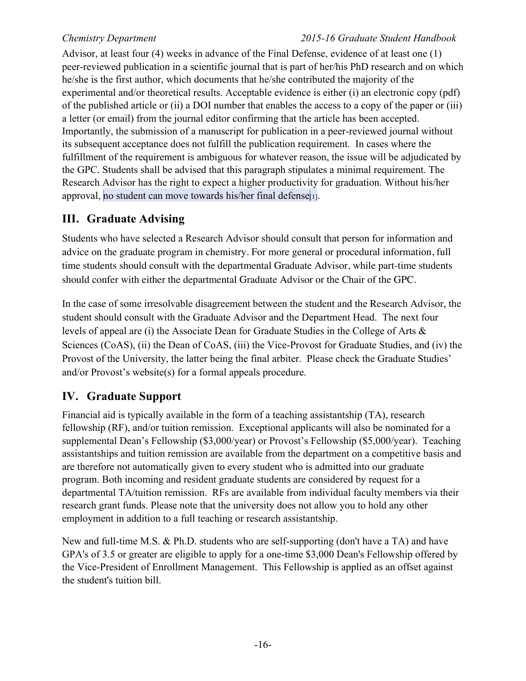#### *Chemistry Department 2015-16 Graduate Student Handbook*

Advisor, at least four (4) weeks in advance of the Final Defense, evidence of at least one (1) peer-reviewed publication in a scientific journal that is part of her/his PhD research and on which he/she is the first author, which documents that he/she contributed the majority of the experimental and/or theoretical results. Acceptable evidence is either (i) an electronic copy (pdf) of the published article or (ii) a DOI number that enables the access to a copy of the paper or (iii) a letter (or email) from the journal editor confirming that the article has been accepted. Importantly, the submission of a manuscript for publication in a peer-reviewed journal without its subsequent acceptance does not fulfill the publication requirement. In cases where the fulfillment of the requirement is ambiguous for whatever reason, the issue will be adjudicated by the GPC. Students shall be advised that this paragraph stipulates a minimal requirement. The Research Advisor has the right to expect a higher productivity for graduation. Without his/her approval, no student can move towards his/her final defense $\vert$ <sub>1</sub>.

# **III. Graduate Advising**

Students who have selected a Research Advisor should consult that person for information and advice on the graduate program in chemistry. For more general or procedural information, full time students should consult with the departmental Graduate Advisor, while part-time students should confer with either the departmental Graduate Advisor or the Chair of the GPC.

In the case of some irresolvable disagreement between the student and the Research Advisor, the student should consult with the Graduate Advisor and the Department Head. The next four levels of appeal are (i) the Associate Dean for Graduate Studies in the College of Arts & Sciences (CoAS), (ii) the Dean of CoAS, (iii) the Vice-Provost for Graduate Studies, and (iv) the Provost of the University, the latter being the final arbiter. Please check the Graduate Studies' and/or Provost's website(s) for a formal appeals procedure.

# **IV. Graduate Support**

Financial aid is typically available in the form of a teaching assistantship (TA), research fellowship (RF), and/or tuition remission. Exceptional applicants will also be nominated for a supplemental Dean's Fellowship (\$3,000/year) or Provost's Fellowship (\$5,000/year). Teaching assistantships and tuition remission are available from the department on a competitive basis and are therefore not automatically given to every student who is admitted into our graduate program. Both incoming and resident graduate students are considered by request for a departmental TA/tuition remission. RFs are available from individual faculty members via their research grant funds. Please note that the university does not allow you to hold any other employment in addition to a full teaching or research assistantship.

New and full-time M.S. & Ph.D. students who are self-supporting (don't have a TA) and have GPA's of 3.5 or greater are eligible to apply for a one-time \$3,000 Dean's Fellowship offered by the Vice-President of Enrollment Management. This Fellowship is applied as an offset against the student's tuition bill.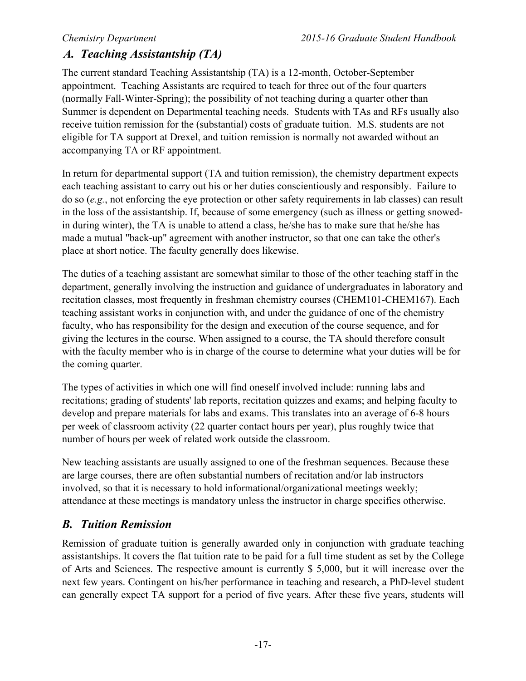# *A. Teaching Assistantship (TA)*

The current standard Teaching Assistantship (TA) is a 12-month, October-September appointment. Teaching Assistants are required to teach for three out of the four quarters (normally Fall-Winter-Spring); the possibility of not teaching during a quarter other than Summer is dependent on Departmental teaching needs. Students with TAs and RFs usually also receive tuition remission for the (substantial) costs of graduate tuition. M.S. students are not eligible for TA support at Drexel, and tuition remission is normally not awarded without an accompanying TA or RF appointment.

In return for departmental support (TA and tuition remission), the chemistry department expects each teaching assistant to carry out his or her duties conscientiously and responsibly. Failure to do so (*e.g.*, not enforcing the eye protection or other safety requirements in lab classes) can result in the loss of the assistantship. If, because of some emergency (such as illness or getting snowedin during winter), the TA is unable to attend a class, he/she has to make sure that he/she has made a mutual "back-up" agreement with another instructor, so that one can take the other's place at short notice. The faculty generally does likewise.

The duties of a teaching assistant are somewhat similar to those of the other teaching staff in the department, generally involving the instruction and guidance of undergraduates in laboratory and recitation classes, most frequently in freshman chemistry courses (CHEM101-CHEM167). Each teaching assistant works in conjunction with, and under the guidance of one of the chemistry faculty, who has responsibility for the design and execution of the course sequence, and for giving the lectures in the course. When assigned to a course, the TA should therefore consult with the faculty member who is in charge of the course to determine what your duties will be for the coming quarter.

The types of activities in which one will find oneself involved include: running labs and recitations; grading of students' lab reports, recitation quizzes and exams; and helping faculty to develop and prepare materials for labs and exams. This translates into an average of 6-8 hours per week of classroom activity (22 quarter contact hours per year), plus roughly twice that number of hours per week of related work outside the classroom.

New teaching assistants are usually assigned to one of the freshman sequences. Because these are large courses, there are often substantial numbers of recitation and/or lab instructors involved, so that it is necessary to hold informational/organizational meetings weekly; attendance at these meetings is mandatory unless the instructor in charge specifies otherwise.

# *B. Tuition Remission*

Remission of graduate tuition is generally awarded only in conjunction with graduate teaching assistantships. It covers the flat tuition rate to be paid for a full time student as set by the College of Arts and Sciences. The respective amount is currently \$ 5,000, but it will increase over the next few years. Contingent on his/her performance in teaching and research, a PhD-level student can generally expect TA support for a period of five years. After these five years, students will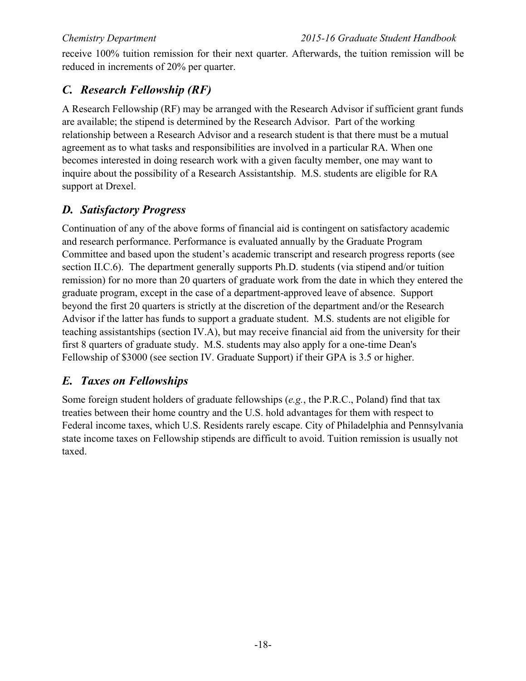receive 100% tuition remission for their next quarter. Afterwards, the tuition remission will be reduced in increments of 20% per quarter.

# *C. Research Fellowship (RF)*

A Research Fellowship (RF) may be arranged with the Research Advisor if sufficient grant funds are available; the stipend is determined by the Research Advisor. Part of the working relationship between a Research Advisor and a research student is that there must be a mutual agreement as to what tasks and responsibilities are involved in a particular RA. When one becomes interested in doing research work with a given faculty member, one may want to inquire about the possibility of a Research Assistantship. M.S. students are eligible for RA support at Drexel.

# *D. Satisfactory Progress*

Continuation of any of the above forms of financial aid is contingent on satisfactory academic and research performance. Performance is evaluated annually by the Graduate Program Committee and based upon the student's academic transcript and research progress reports (see section II.C.6). The department generally supports Ph.D. students (via stipend and/or tuition remission) for no more than 20 quarters of graduate work from the date in which they entered the graduate program, except in the case of a department-approved leave of absence. Support beyond the first 20 quarters is strictly at the discretion of the department and/or the Research Advisor if the latter has funds to support a graduate student. M.S. students are not eligible for teaching assistantships (section IV.A), but may receive financial aid from the university for their first 8 quarters of graduate study. M.S. students may also apply for a one-time Dean's Fellowship of \$3000 (see section IV. Graduate Support) if their GPA is 3.5 or higher.

# *E. Taxes on Fellowships*

Some foreign student holders of graduate fellowships (*e.g.*, the P.R.C., Poland) find that tax treaties between their home country and the U.S. hold advantages for them with respect to Federal income taxes, which U.S. Residents rarely escape. City of Philadelphia and Pennsylvania state income taxes on Fellowship stipends are difficult to avoid. Tuition remission is usually not taxed.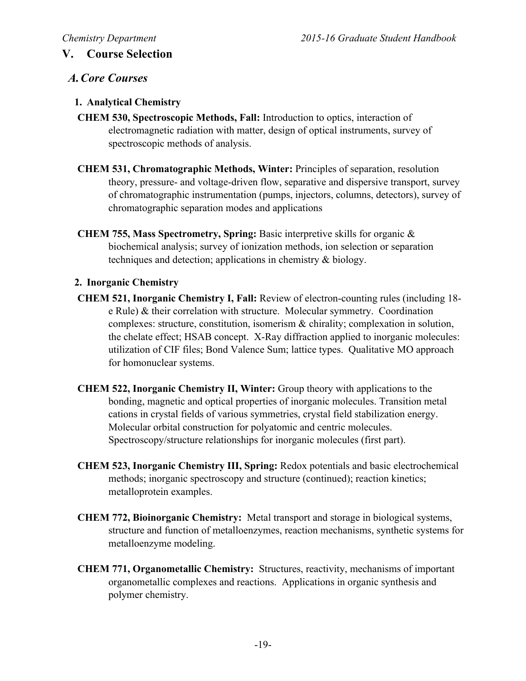### **V. Course Selection**

#### *A.Core Courses*

#### **1. Analytical Chemistry**

- **CHEM 530, Spectroscopic Methods, Fall:** Introduction to optics, interaction of electromagnetic radiation with matter, design of optical instruments, survey of spectroscopic methods of analysis.
- **CHEM 531, Chromatographic Methods, Winter:** Principles of separation, resolution theory, pressure- and voltage-driven flow, separative and dispersive transport, survey of chromatographic instrumentation (pumps, injectors, columns, detectors), survey of chromatographic separation modes and applications
- **CHEM 755, Mass Spectrometry, Spring:** Basic interpretive skills for organic & biochemical analysis; survey of ionization methods, ion selection or separation techniques and detection; applications in chemistry & biology.

#### **2. Inorganic Chemistry**

- **CHEM 521, Inorganic Chemistry I, Fall:** Review of electron-counting rules (including 18 e Rule) & their correlation with structure. Molecular symmetry. Coordination complexes: structure, constitution, isomerism & chirality; complexation in solution, the chelate effect; HSAB concept. X-Ray diffraction applied to inorganic molecules: utilization of CIF files; Bond Valence Sum; lattice types. Qualitative MO approach for homonuclear systems.
- **CHEM 522, Inorganic Chemistry II, Winter:** Group theory with applications to the bonding, magnetic and optical properties of inorganic molecules. Transition metal cations in crystal fields of various symmetries, crystal field stabilization energy. Molecular orbital construction for polyatomic and centric molecules. Spectroscopy/structure relationships for inorganic molecules (first part).
- **CHEM 523, Inorganic Chemistry III, Spring:** Redox potentials and basic electrochemical methods; inorganic spectroscopy and structure (continued); reaction kinetics; metalloprotein examples.
- **CHEM 772, Bioinorganic Chemistry:** Metal transport and storage in biological systems, structure and function of metalloenzymes, reaction mechanisms, synthetic systems for metalloenzyme modeling.
- **CHEM 771, Organometallic Chemistry:** Structures, reactivity, mechanisms of important organometallic complexes and reactions. Applications in organic synthesis and polymer chemistry.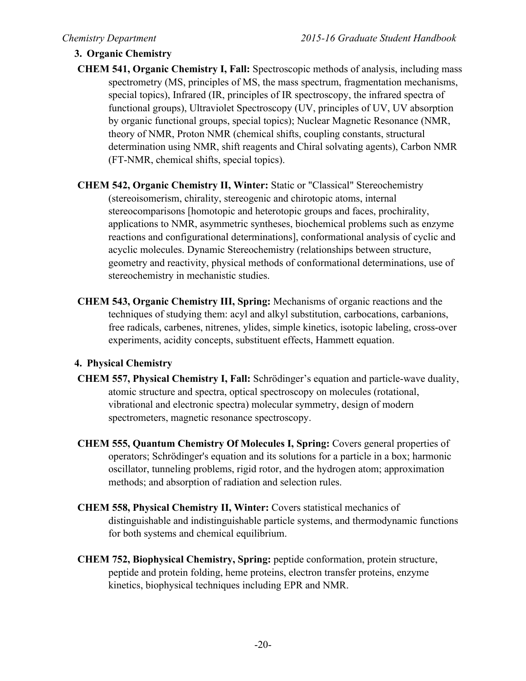### **3. Organic Chemistry**

- **CHEM 541, Organic Chemistry I, Fall:** Spectroscopic methods of analysis, including mass spectrometry (MS, principles of MS, the mass spectrum, fragmentation mechanisms, special topics), Infrared (IR, principles of IR spectroscopy, the infrared spectra of functional groups), Ultraviolet Spectroscopy (UV, principles of UV, UV absorption by organic functional groups, special topics); Nuclear Magnetic Resonance (NMR, theory of NMR, Proton NMR (chemical shifts, coupling constants, structural determination using NMR, shift reagents and Chiral solvating agents), Carbon NMR (FT-NMR, chemical shifts, special topics).
- **CHEM 542, Organic Chemistry II, Winter:** Static or "Classical" Stereochemistry (stereoisomerism, chirality, stereogenic and chirotopic atoms, internal stereocomparisons [homotopic and heterotopic groups and faces, prochirality, applications to NMR, asymmetric syntheses, biochemical problems such as enzyme reactions and configurational determinations], conformational analysis of cyclic and acyclic molecules. Dynamic Stereochemistry (relationships between structure, geometry and reactivity, physical methods of conformational determinations, use of stereochemistry in mechanistic studies.
- **CHEM 543, Organic Chemistry III, Spring:** Mechanisms of organic reactions and the techniques of studying them: acyl and alkyl substitution, carbocations, carbanions, free radicals, carbenes, nitrenes, ylides, simple kinetics, isotopic labeling, cross-over experiments, acidity concepts, substituent effects, Hammett equation.

#### **4. Physical Chemistry**

- **CHEM 557, Physical Chemistry I, Fall:** Schrödinger's equation and particle-wave duality, atomic structure and spectra, optical spectroscopy on molecules (rotational, vibrational and electronic spectra) molecular symmetry, design of modern spectrometers, magnetic resonance spectroscopy.
- **CHEM 555, Quantum Chemistry Of Molecules I, Spring:** Covers general properties of operators; Schrödinger's equation and its solutions for a particle in a box; harmonic oscillator, tunneling problems, rigid rotor, and the hydrogen atom; approximation methods; and absorption of radiation and selection rules.
- **CHEM 558, Physical Chemistry II, Winter:** Covers statistical mechanics of distinguishable and indistinguishable particle systems, and thermodynamic functions for both systems and chemical equilibrium.
- **CHEM 752, Biophysical Chemistry, Spring:** peptide conformation, protein structure, peptide and protein folding, heme proteins, electron transfer proteins, enzyme kinetics, biophysical techniques including EPR and NMR.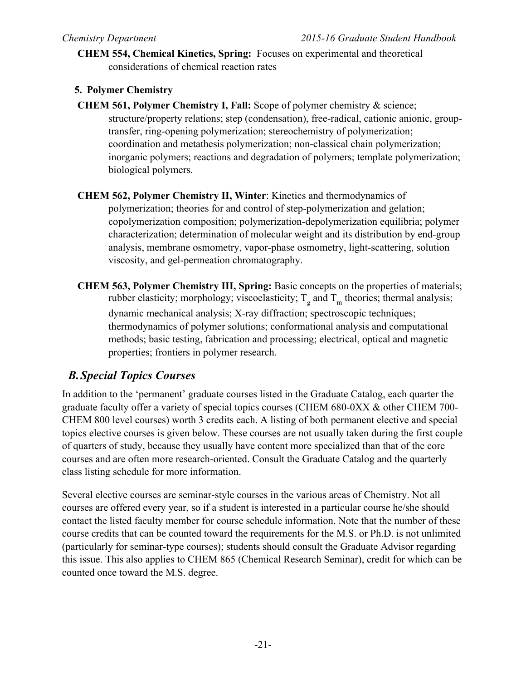**CHEM 554, Chemical Kinetics, Spring:** Focuses on experimental and theoretical considerations of chemical reaction rates

#### **5. Polymer Chemistry**

**CHEM 561, Polymer Chemistry I, Fall:** Scope of polymer chemistry & science; structure/property relations; step (condensation), free-radical, cationic anionic, grouptransfer, ring-opening polymerization; stereochemistry of polymerization; coordination and metathesis polymerization; non-classical chain polymerization; inorganic polymers; reactions and degradation of polymers; template polymerization; biological polymers.

**CHEM 562, Polymer Chemistry II, Winter**: Kinetics and thermodynamics of polymerization; theories for and control of step-polymerization and gelation; copolymerization composition; polymerization-depolymerization equilibria; polymer characterization; determination of molecular weight and its distribution by end-group analysis, membrane osmometry, vapor-phase osmometry, light-scattering, solution viscosity, and gel-permeation chromatography.

**CHEM 563, Polymer Chemistry III, Spring:** Basic concepts on the properties of materials; rubber elasticity; morphology; viscoelasticity;  $T_g$  and  $T_m$  theories; thermal analysis; dynamic mechanical analysis; X-ray diffraction; spectroscopic techniques; thermodynamics of polymer solutions; conformational analysis and computational methods; basic testing, fabrication and processing; electrical, optical and magnetic properties; frontiers in polymer research.

# *B.Special Topics Courses*

In addition to the 'permanent' graduate courses listed in the Graduate Catalog, each quarter the graduate faculty offer a variety of special topics courses (CHEM 680-0XX & other CHEM 700- CHEM 800 level courses) worth 3 credits each. A listing of both permanent elective and special topics elective courses is given below. These courses are not usually taken during the first couple of quarters of study, because they usually have content more specialized than that of the core courses and are often more research-oriented. Consult the Graduate Catalog and the quarterly class listing schedule for more information.

Several elective courses are seminar-style courses in the various areas of Chemistry. Not all courses are offered every year, so if a student is interested in a particular course he/she should contact the listed faculty member for course schedule information. Note that the number of these course credits that can be counted toward the requirements for the M.S. or Ph.D. is not unlimited (particularly for seminar-type courses); students should consult the Graduate Advisor regarding this issue. This also applies to CHEM 865 (Chemical Research Seminar), credit for which can be counted once toward the M.S. degree.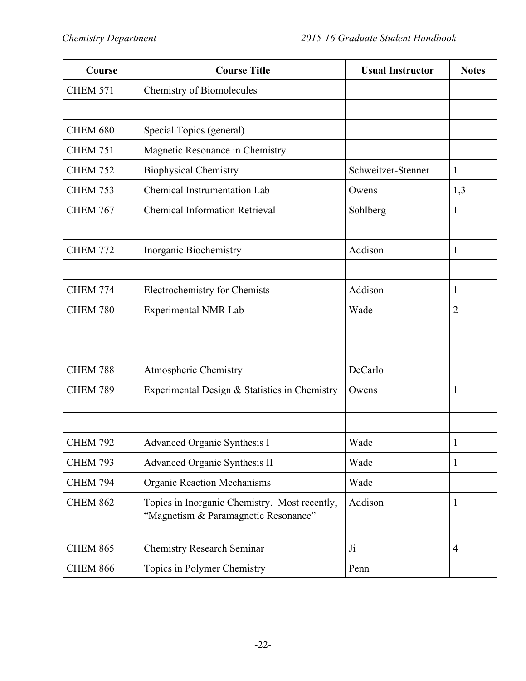| <b>Course Title</b><br>Course |                                                                                       | <b>Usual Instructor</b> | <b>Notes</b>   |
|-------------------------------|---------------------------------------------------------------------------------------|-------------------------|----------------|
| <b>CHEM 571</b>               | Chemistry of Biomolecules                                                             |                         |                |
|                               |                                                                                       |                         |                |
| <b>CHEM 680</b>               | Special Topics (general)                                                              |                         |                |
| <b>CHEM 751</b>               | Magnetic Resonance in Chemistry                                                       |                         |                |
| <b>CHEM 752</b>               | <b>Biophysical Chemistry</b>                                                          | Schweitzer-Stenner      | 1              |
| <b>CHEM 753</b>               | Chemical Instrumentation Lab                                                          | Owens                   | 1,3            |
| <b>CHEM 767</b>               | <b>Chemical Information Retrieval</b>                                                 | Sohlberg                | 1              |
|                               |                                                                                       |                         |                |
| <b>CHEM 772</b>               | Inorganic Biochemistry                                                                | Addison                 | 1              |
|                               |                                                                                       |                         |                |
| CHEM 774                      | Electrochemistry for Chemists                                                         | Addison                 | 1              |
| <b>CHEM 780</b>               | <b>Experimental NMR Lab</b>                                                           | Wade                    | $\overline{2}$ |
|                               |                                                                                       |                         |                |
|                               |                                                                                       |                         |                |
| CHEM 788                      | Atmospheric Chemistry                                                                 | DeCarlo                 |                |
| <b>CHEM 789</b>               | Experimental Design & Statistics in Chemistry                                         | Owens                   | $\mathbf{1}$   |
|                               |                                                                                       |                         |                |
|                               |                                                                                       |                         |                |
| <b>CHEM 792</b>               | <b>Advanced Organic Synthesis I</b>                                                   | Wade                    | 1              |
| <b>CHEM 793</b>               | Advanced Organic Synthesis II                                                         | Wade                    | $\mathbf{1}$   |
| <b>CHEM 794</b>               | <b>Organic Reaction Mechanisms</b>                                                    | Wade                    |                |
| <b>CHEM 862</b>               | Topics in Inorganic Chemistry. Most recently,<br>"Magnetism & Paramagnetic Resonance" | Addison                 | 1              |
| <b>CHEM 865</b>               | <b>Chemistry Research Seminar</b>                                                     | J <sub>i</sub>          | $\overline{4}$ |
| <b>CHEM 866</b>               | Topics in Polymer Chemistry                                                           | Penn                    |                |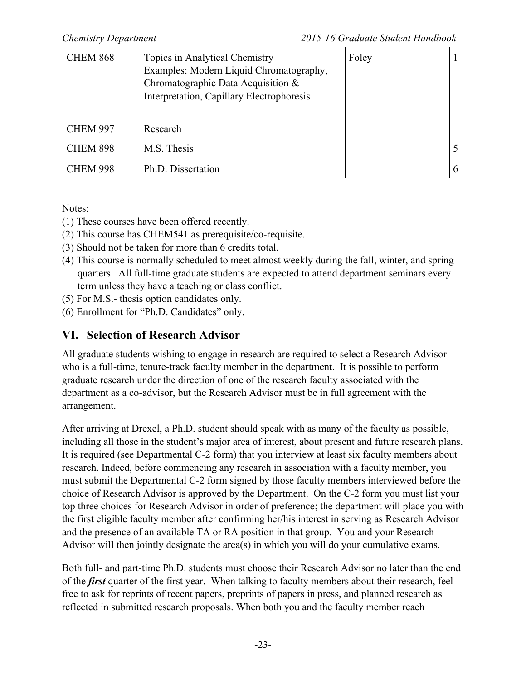| <b>CHEM 868</b> | Topics in Analytical Chemistry<br>Examples: Modern Liquid Chromatography,<br>Chromatographic Data Acquisition &<br>Interpretation, Capillary Electrophoresis | Foley |   |
|-----------------|--------------------------------------------------------------------------------------------------------------------------------------------------------------|-------|---|
| <b>CHEM 997</b> | Research                                                                                                                                                     |       |   |
| <b>CHEM 898</b> | M.S. Thesis                                                                                                                                                  |       |   |
| <b>CHEM 998</b> | Ph.D. Dissertation                                                                                                                                           |       | O |

Notes:

- (1) These courses have been offered recently.
- (2) This course has CHEM541 as prerequisite/co-requisite.
- (3) Should not be taken for more than 6 credits total.
- (4) This course is normally scheduled to meet almost weekly during the fall, winter, and spring quarters. All full-time graduate students are expected to attend department seminars every term unless they have a teaching or class conflict.
- (5) For M.S.- thesis option candidates only.
- (6) Enrollment for "Ph.D. Candidates" only.

# **VI. Selection of Research Advisor**

All graduate students wishing to engage in research are required to select a Research Advisor who is a full-time, tenure-track faculty member in the department. It is possible to perform graduate research under the direction of one of the research faculty associated with the department as a co-advisor, but the Research Advisor must be in full agreement with the arrangement.

After arriving at Drexel, a Ph.D. student should speak with as many of the faculty as possible, including all those in the student's major area of interest, about present and future research plans. It is required (see Departmental C-2 form) that you interview at least six faculty members about research. Indeed, before commencing any research in association with a faculty member, you must submit the Departmental C-2 form signed by those faculty members interviewed before the choice of Research Advisor is approved by the Department. On the C-2 form you must list your top three choices for Research Advisor in order of preference; the department will place you with the first eligible faculty member after confirming her/his interest in serving as Research Advisor and the presence of an available TA or RA position in that group. You and your Research Advisor will then jointly designate the area(s) in which you will do your cumulative exams.

Both full- and part-time Ph.D. students must choose their Research Advisor no later than the end of the *first* quarter of the first year. When talking to faculty members about their research, feel free to ask for reprints of recent papers, preprints of papers in press, and planned research as reflected in submitted research proposals. When both you and the faculty member reach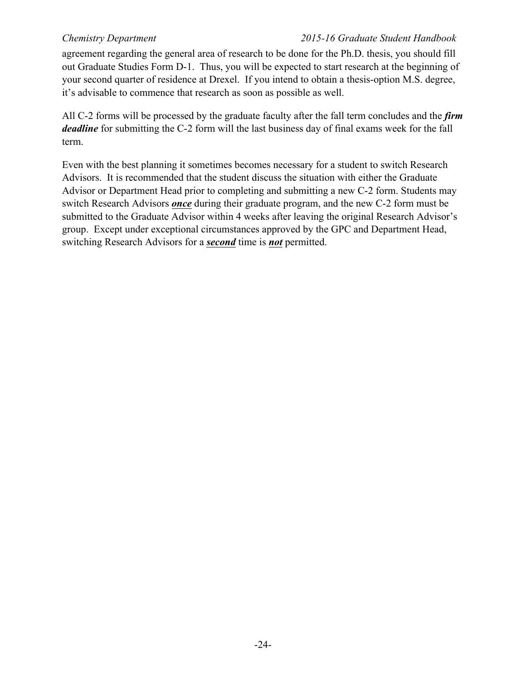agreement regarding the general area of research to be done for the Ph.D. thesis, you should fill out Graduate Studies Form D-1. Thus, you will be expected to start research at the beginning of your second quarter of residence at Drexel. If you intend to obtain a thesis-option M.S. degree, it's advisable to commence that research as soon as possible as well.

All C-2 forms will be processed by the graduate faculty after the fall term concludes and the *firm deadline* for submitting the C-2 form will the last business day of final exams week for the fall term.

Even with the best planning it sometimes becomes necessary for a student to switch Research Advisors. It is recommended that the student discuss the situation with either the Graduate Advisor or Department Head prior to completing and submitting a new C-2 form. Students may switch Research Advisors *once* during their graduate program, and the new C-2 form must be submitted to the Graduate Advisor within 4 weeks after leaving the original Research Advisor's group. Except under exceptional circumstances approved by the GPC and Department Head, switching Research Advisors for a *second* time is *not* permitted.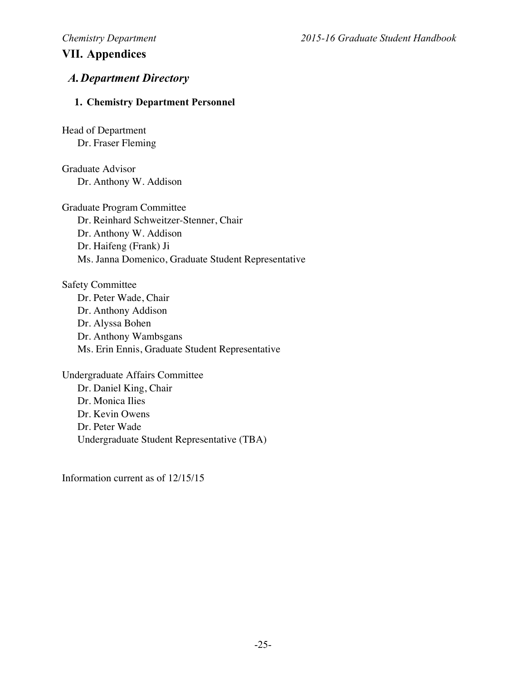# **VII. Appendices**

### *A.Department Directory*

#### **1. Chemistry Department Personnel**

Head of Department Dr. Fraser Fleming

Graduate Advisor Dr. Anthony W. Addison

Graduate Program Committee Dr. Reinhard Schweitzer-Stenner, Chair Dr. Anthony W. Addison Dr. Haifeng (Frank) Ji Ms. Janna Domenico, Graduate Student Representative

Safety Committee Dr. Peter Wade, Chair Dr. Anthony Addison Dr. Alyssa Bohen Dr. Anthony Wambsgans Ms. Erin Ennis, Graduate Student Representative

Undergraduate Affairs Committee Dr. Daniel King, Chair Dr. Monica Ilies Dr. Kevin Owens Dr. Peter Wade Undergraduate Student Representative (TBA)

Information current as of 12/15/15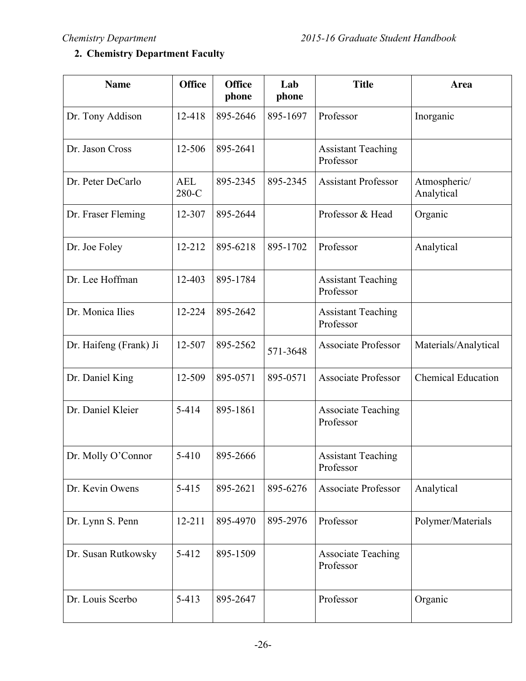# **2. Chemistry Department Faculty**

| <b>Name</b>            | <b>Office</b>       | <b>Office</b><br>phone | Lab<br>phone | <b>Title</b>                           | Area                       |
|------------------------|---------------------|------------------------|--------------|----------------------------------------|----------------------------|
| Dr. Tony Addison       | 12-418              | 895-2646               | 895-1697     | Professor                              | Inorganic                  |
| Dr. Jason Cross        | 12-506              | 895-2641               |              | <b>Assistant Teaching</b><br>Professor |                            |
| Dr. Peter DeCarlo      | <b>AEL</b><br>280-C | 895-2345               | 895-2345     | <b>Assistant Professor</b>             | Atmospheric/<br>Analytical |
| Dr. Fraser Fleming     | 12-307              | 895-2644               |              | Professor & Head                       | Organic                    |
| Dr. Joe Foley          | 12-212              | 895-6218               | 895-1702     | Professor                              | Analytical                 |
| Dr. Lee Hoffman        | 12-403              | 895-1784               |              | <b>Assistant Teaching</b><br>Professor |                            |
| Dr. Monica Ilies       | 12-224              | 895-2642               |              | <b>Assistant Teaching</b><br>Professor |                            |
| Dr. Haifeng (Frank) Ji | 12-507              | 895-2562               | 571-3648     | <b>Associate Professor</b>             | Materials/Analytical       |
| Dr. Daniel King        | 12-509              | 895-0571               | 895-0571     | <b>Associate Professor</b>             | <b>Chemical Education</b>  |
| Dr. Daniel Kleier      | 5-414               | 895-1861               |              | <b>Associate Teaching</b><br>Professor |                            |
| Dr. Molly O'Connor     | $5 - 410$           | 895-2666               |              | <b>Assistant Teaching</b><br>Professor |                            |
| Dr. Kevin Owens        | $5 - 415$           | 895-2621               | 895-6276     | <b>Associate Professor</b>             | Analytical                 |
| Dr. Lynn S. Penn       | $12 - 211$          | 895-4970               | 895-2976     | Professor                              | Polymer/Materials          |
| Dr. Susan Rutkowsky    | $5 - 412$           | 895-1509               |              | <b>Associate Teaching</b><br>Professor |                            |
| Dr. Louis Scerbo       | $5 - 413$           | 895-2647               |              | Professor                              | Organic                    |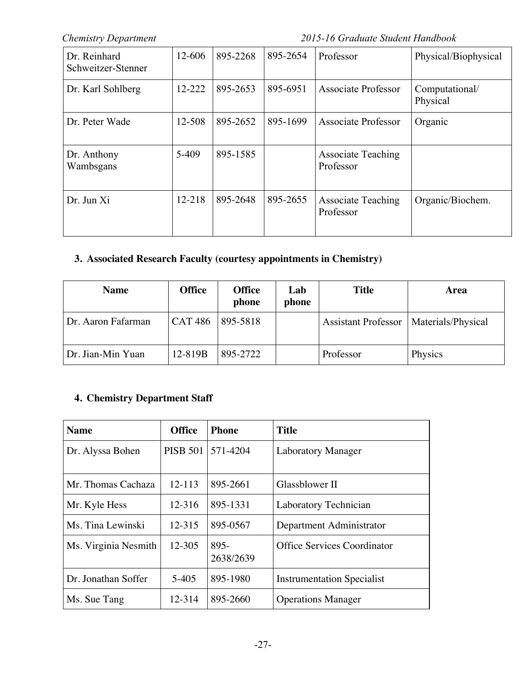*Chemistry Department 2015-16 Graduate Student Handbook*

| Dr. Reinhard<br>Schweitzer-Stenner | 12-606 | 895-2268 | 895-2654 | Professor                              | Physical/Biophysical       |
|------------------------------------|--------|----------|----------|----------------------------------------|----------------------------|
| Dr. Karl Sohlberg                  | 12-222 | 895-2653 | 895-6951 | Associate Professor                    | Computational/<br>Physical |
| Dr. Peter Wade                     | 12-508 | 895-2652 | 895-1699 | <b>Associate Professor</b>             | Organic                    |
| Dr. Anthony<br>Wambsgans           | 5-409  | 895-1585 |          | <b>Associate Teaching</b><br>Professor |                            |
| Dr. Jun Xi                         | 12-218 | 895-2648 | 895-2655 | <b>Associate Teaching</b><br>Professor | Organic/Biochem.           |

### **3. Associated Research Faculty (courtesy appointments in Chemistry)**

| <b>Name</b>        | <b>Office</b>  | <b>Office</b><br>phone | <b>Lab</b><br>phone | <b>Title</b>               | Area               |
|--------------------|----------------|------------------------|---------------------|----------------------------|--------------------|
| Dr. Aaron Fafarman | <b>CAT 486</b> | 895-5818               |                     | <b>Assistant Professor</b> | Materials/Physical |
| Dr. Jian-Min Yuan  | 12-819B        | 895-2722               |                     | Professor                  | Physics            |

### **4. Chemistry Department Staff**

| <b>Name</b>          | <b>Office</b>   | <b>Phone</b>      | <b>Title</b>                       |
|----------------------|-----------------|-------------------|------------------------------------|
| Dr. Alyssa Bohen     | <b>PISB 501</b> | 571-4204          | <b>Laboratory Manager</b>          |
| Mr. Thomas Cachaza   | 12-113          | 895-2661          | Glassblower II                     |
| Mr. Kyle Hess        | 12-316          | 895-1331          | Laboratory Technician              |
| Ms. Tina Lewinski    | $12 - 315$      | 895-0567          | Department Administrator           |
| Ms. Virginia Nesmith | 12-305          | 895-<br>2638/2639 | <b>Office Services Coordinator</b> |
| Dr. Jonathan Soffer  | $5-405$         | 895-1980          | <b>Instrumentation Specialist</b>  |
| Ms. Sue Tang         | 12-314          | 895-2660          | <b>Operations Manager</b>          |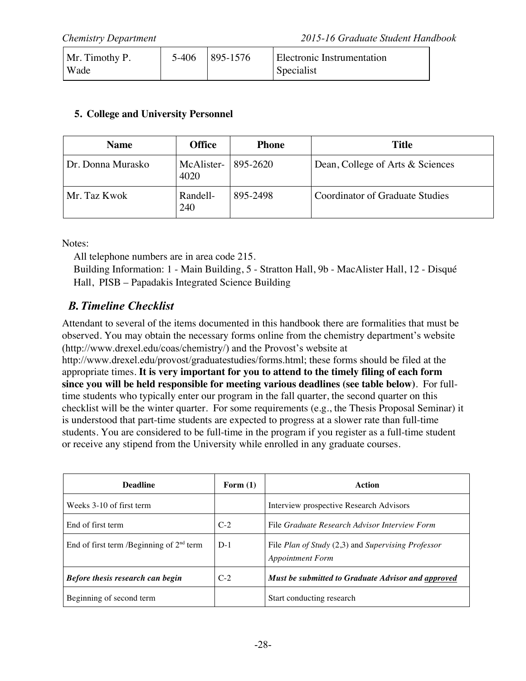| Mr. Timothy P. | 5-406 | 895-1576 | Electronic Instrumentation |  |
|----------------|-------|----------|----------------------------|--|
| Wade           |       |          | <b>Specialist</b>          |  |

#### **5. College and University Personnel**

| <b>Name</b>       | <b>Office</b>      | <b>Phone</b> | <b>Title</b>                           |
|-------------------|--------------------|--------------|----------------------------------------|
| Dr. Donna Murasko | McAlister-<br>4020 | 895-2620     | Dean, College of Arts & Sciences       |
| Mr. Taz Kwok      | Randell-<br>240    | 895-2498     | <b>Coordinator of Graduate Studies</b> |

Notes:

All telephone numbers are in area code 215.

Building Information: 1 - Main Building, 5 - Stratton Hall, 9b - MacAlister Hall, 12 - Disqué Hall, PISB – Papadakis Integrated Science Building

# *B.Timeline Checklist*

Attendant to several of the items documented in this handbook there are formalities that must be observed. You may obtain the necessary forms online from the chemistry department's website (http://www.drexel.edu/coas/chemistry/) and the Provost's website at

http://www.drexel.edu/provost/graduatestudies/forms.html; these forms should be filed at the appropriate times. **It is very important for you to attend to the timely filing of each form since you will be held responsible for meeting various deadlines (see table below)**. For fulltime students who typically enter our program in the fall quarter, the second quarter on this checklist will be the winter quarter. For some requirements (e.g., the Thesis Proposal Seminar) it is understood that part-time students are expected to progress at a slower rate than full-time students. You are considered to be full-time in the program if you register as a full-time student or receive any stipend from the University while enrolled in any graduate courses.

| <b>Deadline</b>                            | Form $(1)$ | Action                                                                        |
|--------------------------------------------|------------|-------------------------------------------------------------------------------|
| Weeks 3-10 of first term                   |            | Interview prospective Research Advisors                                       |
| End of first term                          | $C-2$      | File Graduate Research Advisor Interview Form                                 |
| End of first term /Beginning of $2nd$ term | $D-1$      | File Plan of Study (2,3) and Supervising Professor<br><b>Appointment Form</b> |
| Before thesis research can begin           | $C-2$      | Must be submitted to Graduate Advisor and approved                            |
| Beginning of second term                   |            | Start conducting research                                                     |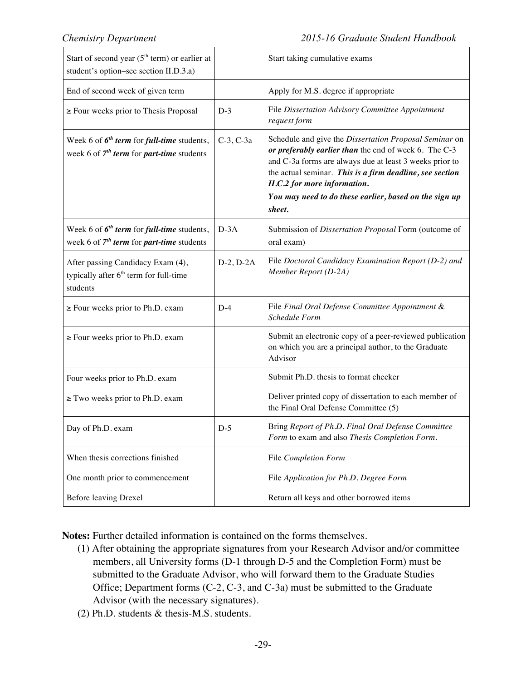| Start of second year $(5th$ term) or earlier at<br>student's option-see section II.D.3.a)           |             | Start taking cumulative exams                                                                                                                                                                                                                                                                                                              |
|-----------------------------------------------------------------------------------------------------|-------------|--------------------------------------------------------------------------------------------------------------------------------------------------------------------------------------------------------------------------------------------------------------------------------------------------------------------------------------------|
| End of second week of given term                                                                    |             | Apply for M.S. degree if appropriate                                                                                                                                                                                                                                                                                                       |
| $\ge$ Four weeks prior to Thesis Proposal                                                           | $D-3$       | File Dissertation Advisory Committee Appointment<br>request form                                                                                                                                                                                                                                                                           |
| Week 6 of $6^{th}$ term for full-time students,<br>week 6 of $7th$ term for part-time students      | $C-3, C-3a$ | Schedule and give the Dissertation Proposal Seminar on<br>or preferably earlier than the end of week 6. The C-3<br>and C-3a forms are always due at least 3 weeks prior to<br>the actual seminar. This is a firm deadline, see section<br>II.C.2 for more information.<br>You may need to do these earlier, based on the sign up<br>sheet. |
| Week 6 of $6^{th}$ term for full-time students,<br>week 6 of $7th$ term for part-time students      | $D-3A$      | Submission of Dissertation Proposal Form (outcome of<br>oral exam)                                                                                                                                                                                                                                                                         |
| After passing Candidacy Exam (4),<br>typically after 6 <sup>th</sup> term for full-time<br>students | $D-2, D-2A$ | File Doctoral Candidacy Examination Report (D-2) and<br>Member Report (D-2A)                                                                                                                                                                                                                                                               |
| $\ge$ Four weeks prior to Ph.D. exam                                                                | $D-4$       | File Final Oral Defense Committee Appointment &<br>Schedule Form                                                                                                                                                                                                                                                                           |
| $\ge$ Four weeks prior to Ph.D. exam                                                                |             | Submit an electronic copy of a peer-reviewed publication<br>on which you are a principal author, to the Graduate<br>Advisor                                                                                                                                                                                                                |
| Four weeks prior to Ph.D. exam                                                                      |             | Submit Ph.D. thesis to format checker                                                                                                                                                                                                                                                                                                      |
| $\ge$ Two weeks prior to Ph.D. exam                                                                 |             | Deliver printed copy of dissertation to each member of<br>the Final Oral Defense Committee (5)                                                                                                                                                                                                                                             |
| Day of Ph.D. exam                                                                                   | $D-5$       | Bring Report of Ph.D. Final Oral Defense Committee<br>Form to exam and also Thesis Completion Form.                                                                                                                                                                                                                                        |
| When thesis corrections finished                                                                    |             | File Completion Form                                                                                                                                                                                                                                                                                                                       |
| One month prior to commencement                                                                     |             | File Application for Ph.D. Degree Form                                                                                                                                                                                                                                                                                                     |
| <b>Before leaving Drexel</b>                                                                        |             | Return all keys and other borrowed items                                                                                                                                                                                                                                                                                                   |

**Notes:** Further detailed information is contained on the forms themselves.

- (1) After obtaining the appropriate signatures from your Research Advisor and/or committee members, all University forms (D-1 through D-5 and the Completion Form) must be submitted to the Graduate Advisor, who will forward them to the Graduate Studies Office; Department forms (C-2, C-3, and C-3a) must be submitted to the Graduate Advisor (with the necessary signatures).
- (2) Ph.D. students & thesis-M.S. students.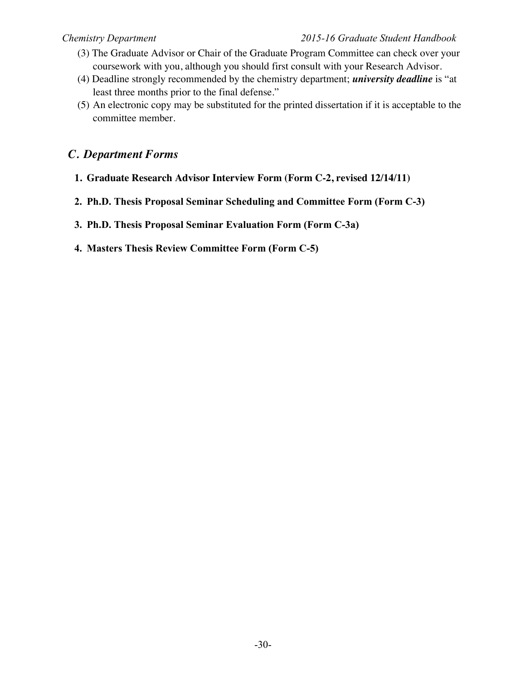- (3) The Graduate Advisor or Chair of the Graduate Program Committee can check over your coursework with you, although you should first consult with your Research Advisor.
- (4) Deadline strongly recommended by the chemistry department; *university deadline* is "at least three months prior to the final defense."
- (5) An electronic copy may be substituted for the printed dissertation if it is acceptable to the committee member.

### *C. Department Forms*

- **1. Graduate Research Advisor Interview Form (Form C-2, revised 12/14/11)**
- **2. Ph.D. Thesis Proposal Seminar Scheduling and Committee Form (Form C-3)**
- **3. Ph.D. Thesis Proposal Seminar Evaluation Form (Form C-3a)**
- **4. Masters Thesis Review Committee Form (Form C-5)**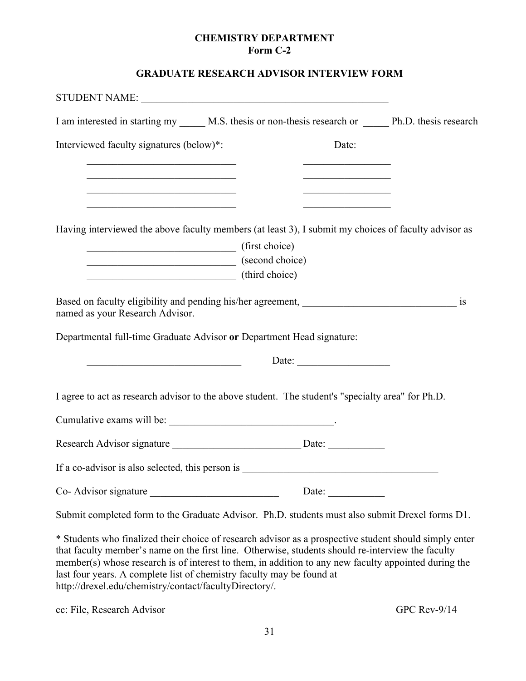#### **CHEMISTRY DEPARTMENT Form C-2**

#### **GRADUATE RESEARCH ADVISOR INTERVIEW FORM**

| I am interested in starting my ______ M.S. thesis or non-thesis research or _______ Ph.D. thesis research                                                                                                                            |  |  |                                                                                                                       |  |
|--------------------------------------------------------------------------------------------------------------------------------------------------------------------------------------------------------------------------------------|--|--|-----------------------------------------------------------------------------------------------------------------------|--|
| Interviewed faculty signatures (below)*:                                                                                                                                                                                             |  |  | Date:                                                                                                                 |  |
| <u> 1989 - Johann John Stoff, mars et al. 1989 - John Stoff, mars et al. 1989 - John Stoff, mars et al. 1989 - John Stoff, mars et al. 1989 - John Stoff, mars et al. 1989 - John Stoff, mars et al. 1989 - John Stoff, mars et </u> |  |  | <u> 1989 - Johann Barn, mars et al. (</u>                                                                             |  |
| <u> 1950 - Johann John Stein, mars an deus Amerikaansk kommunister (</u><br><u> 1990 - Johann John Stoff, market fransk kanton (</u>                                                                                                 |  |  | <u> 1980 - Johann John Harry Barn, mars and de Francisco and de Francisco and de Francisco and de Francisco and d</u> |  |
| Having interviewed the above faculty members (at least 3), I submit my choices of faculty advisor as                                                                                                                                 |  |  |                                                                                                                       |  |
| (first choice)                                                                                                                                                                                                                       |  |  |                                                                                                                       |  |
| $\sim$ (second choice)                                                                                                                                                                                                               |  |  |                                                                                                                       |  |
| (third choice)                                                                                                                                                                                                                       |  |  |                                                                                                                       |  |
| named as your Research Advisor.                                                                                                                                                                                                      |  |  |                                                                                                                       |  |
| Departmental full-time Graduate Advisor or Department Head signature:                                                                                                                                                                |  |  |                                                                                                                       |  |
| <u> 1989 - Johann Barbara, martin amerikan basar dan berasal dalam basa dalam basar dalam basar dalam basar dala</u>                                                                                                                 |  |  | Date:                                                                                                                 |  |
| I agree to act as research advisor to the above student. The student's "specialty area" for Ph.D.                                                                                                                                    |  |  |                                                                                                                       |  |
|                                                                                                                                                                                                                                      |  |  |                                                                                                                       |  |
|                                                                                                                                                                                                                                      |  |  |                                                                                                                       |  |
| If a co-advisor is also selected, this person is                                                                                                                                                                                     |  |  | <u> 1989 - Johann Stein, marwolaethau a bhann an t-Amhain Aonaichte an t-Amhain Aonaichte an t-Amhain Aonaichte a</u> |  |
| Co-Advisor signature                                                                                                                                                                                                                 |  |  | Date: $\qquad \qquad$                                                                                                 |  |
| Submit completed form to the Graduate Advisor. Ph.D. students must also submit Drexel forms D1.                                                                                                                                      |  |  |                                                                                                                       |  |
| * Students who finalized their choice of research advisor as a prospective student should simply enter<br>that faculty member's name on the first line. Otherwise, students should re-interview the faculty                          |  |  |                                                                                                                       |  |

member(s) whose research is of interest to them, in addition to any new faculty appointed during the last four years. A complete list of chemistry faculty may be found at http://drexel.edu/chemistry/contact/facultyDirectory/.

cc: File, Research Advisor GPC Rev-9/14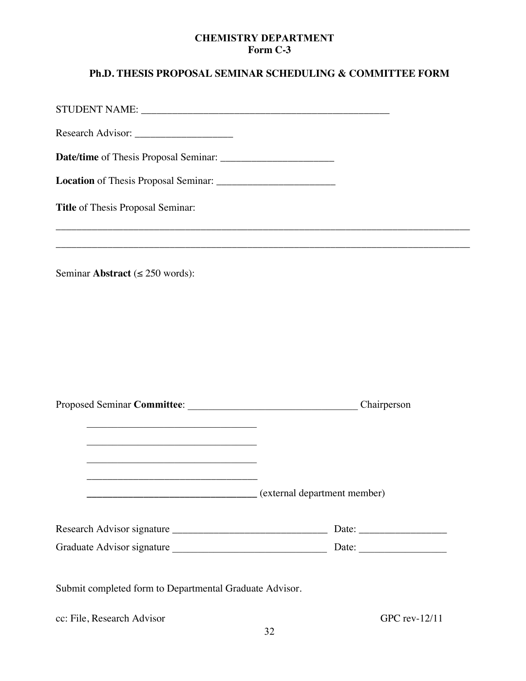#### **CHEMISTRY DEPARTMENT Form C-3**

# **Ph.D. THESIS PROPOSAL SEMINAR SCHEDULING & COMMITTEE FORM**

| Title of Thesis Proposal Seminar:                                                                                      |                              |
|------------------------------------------------------------------------------------------------------------------------|------------------------------|
|                                                                                                                        |                              |
| Seminar Abstract ( $\leq$ 250 words):                                                                                  |                              |
|                                                                                                                        |                              |
|                                                                                                                        |                              |
|                                                                                                                        |                              |
|                                                                                                                        |                              |
|                                                                                                                        | Chairperson                  |
| <u> 1989 - Johann John Stein, market fan it ferskearre fan it ferskearre fan it ferskearre fan it ferskearre fan i</u> |                              |
| <u> 1989 - Johann John Stone, mars eta bainar eta bainar eta baina eta baina eta baina eta baina eta baina eta b</u>   |                              |
|                                                                                                                        |                              |
|                                                                                                                        | (external department member) |
|                                                                                                                        |                              |
|                                                                                                                        |                              |
| Submit completed form to Departmental Graduate Advisor.                                                                |                              |
| cc: File, Research Advisor                                                                                             | GPC rev-12/11                |
|                                                                                                                        |                              |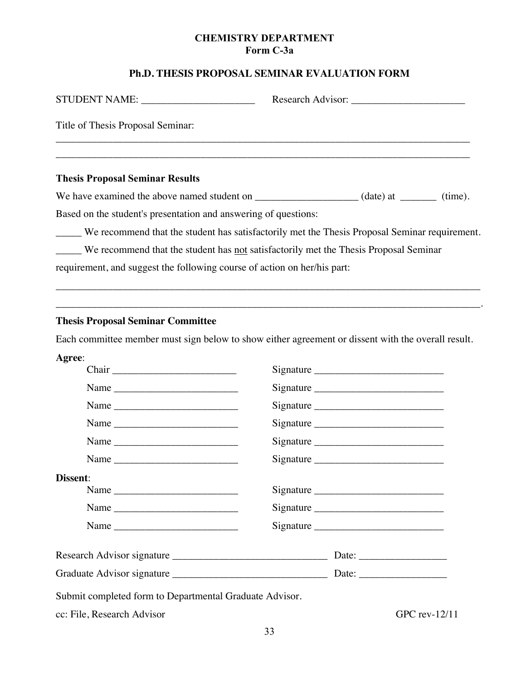#### **CHEMISTRY DEPARTMENT Form C-3a**

#### **Ph.D. THESIS PROPOSAL SEMINAR EVALUATION FORM**

|                                                                                             | Research Advisor: 2008                                                                        |
|---------------------------------------------------------------------------------------------|-----------------------------------------------------------------------------------------------|
| Title of Thesis Proposal Seminar:                                                           |                                                                                               |
|                                                                                             |                                                                                               |
| <b>Thesis Proposal Seminar Results</b>                                                      |                                                                                               |
|                                                                                             |                                                                                               |
| Based on the student's presentation and answering of questions:                             |                                                                                               |
|                                                                                             | We recommend that the student has satisfactorily met the Thesis Proposal Seminar requirement. |
| We recommend that the student has <u>not</u> satisfactorily met the Thesis Proposal Seminar |                                                                                               |
| requirement, and suggest the following course of action on her/his part:                    |                                                                                               |
|                                                                                             |                                                                                               |
|                                                                                             |                                                                                               |

#### **Thesis Proposal Seminar Committee**

Each committee member must sign below to show either agreement or dissent with the overall result.

| Agree:   |                                                          |
|----------|----------------------------------------------------------|
|          |                                                          |
|          |                                                          |
|          | Signature                                                |
|          |                                                          |
|          |                                                          |
|          |                                                          |
| Dissent: |                                                          |
|          | Signature                                                |
|          |                                                          |
|          |                                                          |
|          |                                                          |
|          |                                                          |
|          | Date: $\frac{1}{\sqrt{1-\frac{1}{2}} \cdot \frac{1}{2}}$ |

Submit completed form to Departmental Graduate Advisor.

cc: File, Research Advisor GPC rev-12/11